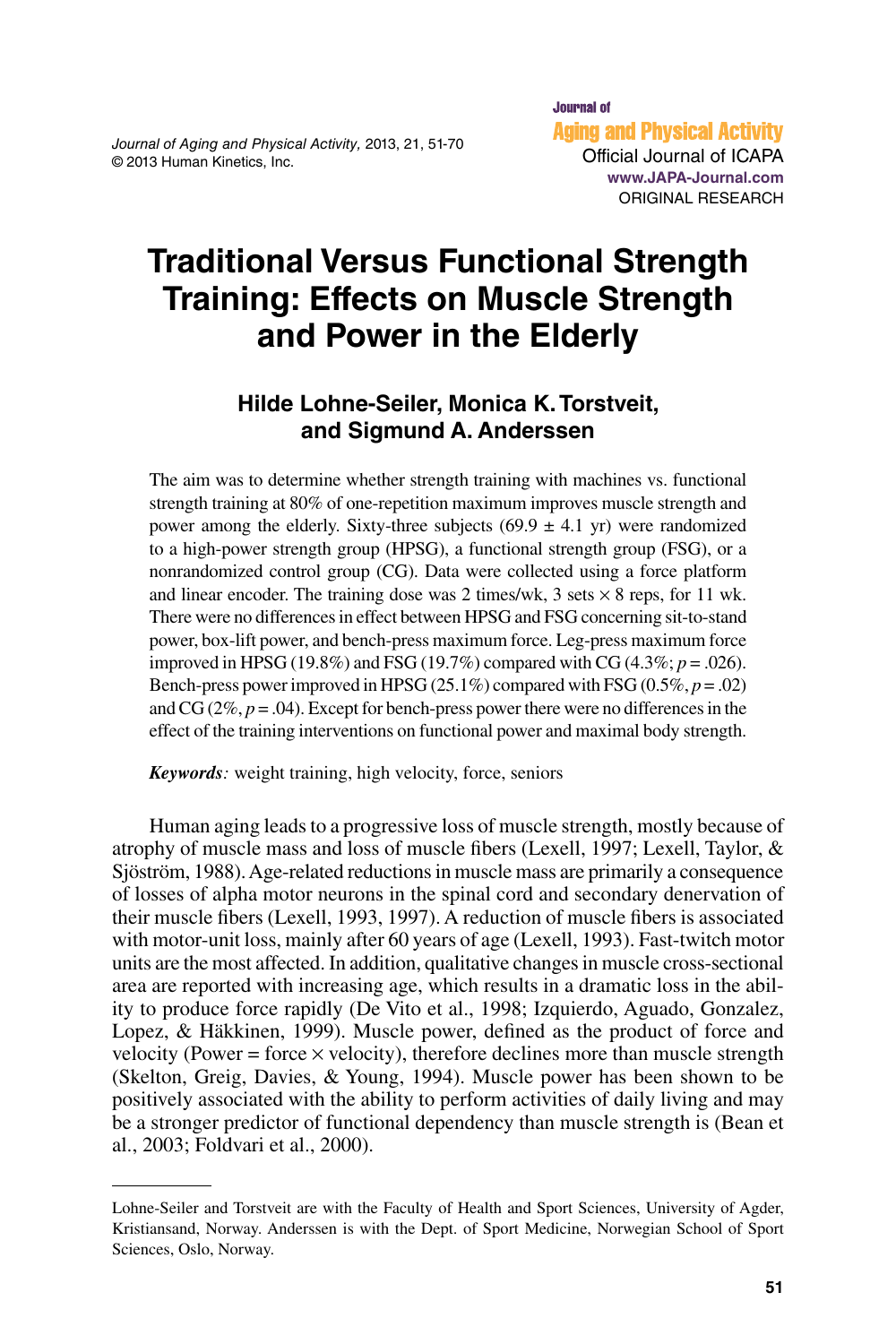*Journal of Aging and Physical Activity,* 2013, 21, 51-70 © 2013 Human Kinetics, Inc.

# **Traditional Versus Functional Strength Training: Effects on Muscle Strength and Power in the Elderly**

### **Hilde Lohne-Seiler, Monica K. Torstveit, and Sigmund A. Anderssen**

The aim was to determine whether strength training with machines vs. functional strength training at 80% of one-repetition maximum improves muscle strength and power among the elderly. Sixty-three subjects  $(69.9 \pm 4.1 \text{ yr})$  were randomized to a high-power strength group (HPSG), a functional strength group (FSG), or a nonrandomized control group (CG). Data were collected using a force platform and linear encoder. The training dose was 2 times/wk, 3 sets  $\times$  8 reps, for 11 wk. There were no differences in effect between HPSG and FSG concerning sit-to-stand power, box-lift power, and bench-press maximum force. Leg-press maximum force improved in HPSG (19.8%) and FSG (19.7%) compared with CG (4.3%; *p* = .026). Bench-press power improved in HPSG (25.1%) compared with FSG (0.5%,  $p = .02$ ) and CG  $(2\%, p=.04)$ . Except for bench-press power there were no differences in the effect of the training interventions on functional power and maximal body strength.

*Keywords:* weight training, high velocity, force, seniors

Human aging leads to a progressive loss of muscle strength, mostly because of atrophy of muscle mass and loss of muscle fibers (Lexell, 1997; Lexell, Taylor, & Sjöström, 1988). Age-related reductions in muscle mass are primarily a consequence of losses of alpha motor neurons in the spinal cord and secondary denervation of their muscle fibers (Lexell, 1993, 1997). A reduction of muscle fibers is associated with motor-unit loss, mainly after 60 years of age (Lexell, 1993). Fast-twitch motor units are the most affected. In addition, qualitative changes in muscle cross-sectional area are reported with increasing age, which results in a dramatic loss in the ability to produce force rapidly (De Vito et al., 1998; Izquierdo, Aguado, Gonzalez, Lopez, & Häkkinen, 1999). Muscle power, defined as the product of force and velocity (Power = force  $\times$  velocity), therefore declines more than muscle strength (Skelton, Greig, Davies, & Young, 1994). Muscle power has been shown to be positively associated with the ability to perform activities of daily living and may be a stronger predictor of functional dependency than muscle strength is (Bean et al., 2003; Foldvari et al., 2000).

Lohne-Seiler and Torstveit are with the Faculty of Health and Sport Sciences, University of Agder, Kristiansand, Norway. Anderssen is with the Dept. of Sport Medicine, Norwegian School of Sport Sciences, Oslo, Norway.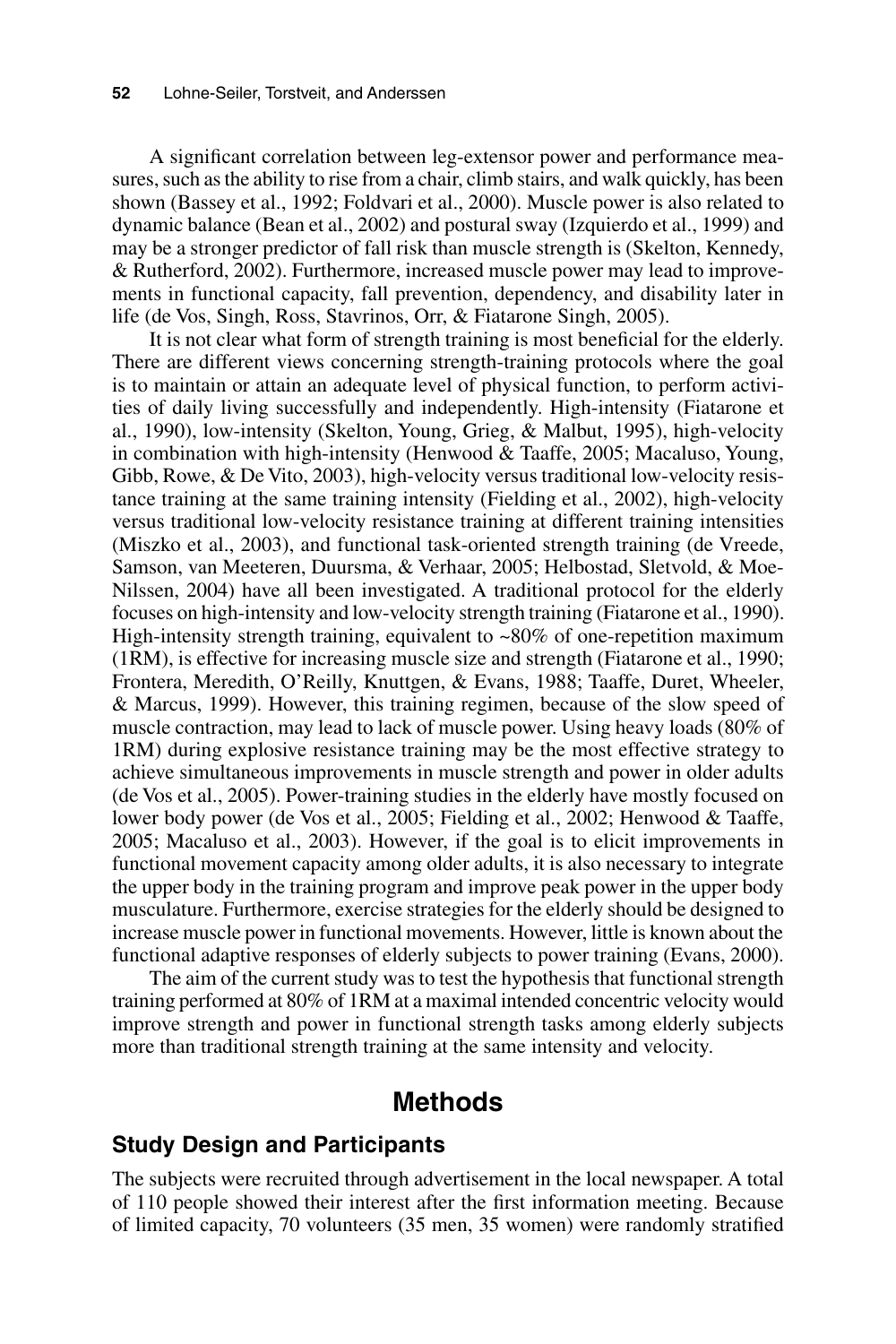A significant correlation between leg-extensor power and performance measures, such as the ability to rise from a chair, climb stairs, and walk quickly, has been shown (Bassey et al., 1992; Foldvari et al., 2000). Muscle power is also related to dynamic balance (Bean et al., 2002) and postural sway (Izquierdo et al., 1999) and may be a stronger predictor of fall risk than muscle strength is (Skelton, Kennedy, & Rutherford, 2002). Furthermore, increased muscle power may lead to improvements in functional capacity, fall prevention, dependency, and disability later in life (de Vos, Singh, Ross, Stavrinos, Orr, & Fiatarone Singh, 2005).

It is not clear what form of strength training is most beneficial for the elderly. There are different views concerning strength-training protocols where the goal is to maintain or attain an adequate level of physical function, to perform activities of daily living successfully and independently. High-intensity (Fiatarone et al., 1990), low-intensity (Skelton, Young, Grieg, & Malbut, 1995), high-velocity in combination with high-intensity (Henwood & Taaffe, 2005; Macaluso, Young, Gibb, Rowe, & De Vito, 2003), high-velocity versus traditional low-velocity resistance training at the same training intensity (Fielding et al., 2002), high-velocity versus traditional low-velocity resistance training at different training intensities (Miszko et al., 2003), and functional task-oriented strength training (de Vreede, Samson, van Meeteren, Duursma, & Verhaar, 2005; Helbostad, Sletvold, & Moe-Nilssen, 2004) have all been investigated. A traditional protocol for the elderly focuses on high-intensity and low-velocity strength training (Fiatarone et al., 1990). High-intensity strength training, equivalent to  $\sim 80\%$  of one-repetition maximum (1RM), is effective for increasing muscle size and strength (Fiatarone et al., 1990; Frontera, Meredith, O'Reilly, Knuttgen, & Evans, 1988; Taaffe, Duret, Wheeler, & Marcus, 1999). However, this training regimen, because of the slow speed of muscle contraction, may lead to lack of muscle power. Using heavy loads (80% of 1RM) during explosive resistance training may be the most effective strategy to achieve simultaneous improvements in muscle strength and power in older adults (de Vos et al., 2005). Power-training studies in the elderly have mostly focused on lower body power (de Vos et al., 2005; Fielding et al., 2002; Henwood & Taaffe, 2005; Macaluso et al., 2003). However, if the goal is to elicit improvements in functional movement capacity among older adults, it is also necessary to integrate the upper body in the training program and improve peak power in the upper body musculature. Furthermore, exercise strategies for the elderly should be designed to increase muscle power in functional movements. However, little is known about the functional adaptive responses of elderly subjects to power training (Evans, 2000).

The aim of the current study was to test the hypothesis that functional strength training performed at 80% of 1RM at a maximal intended concentric velocity would improve strength and power in functional strength tasks among elderly subjects more than traditional strength training at the same intensity and velocity.

### **Methods**

#### **Study Design and Participants**

The subjects were recruited through advertisement in the local newspaper. A total of 110 people showed their interest after the first information meeting. Because of limited capacity, 70 volunteers (35 men, 35 women) were randomly stratified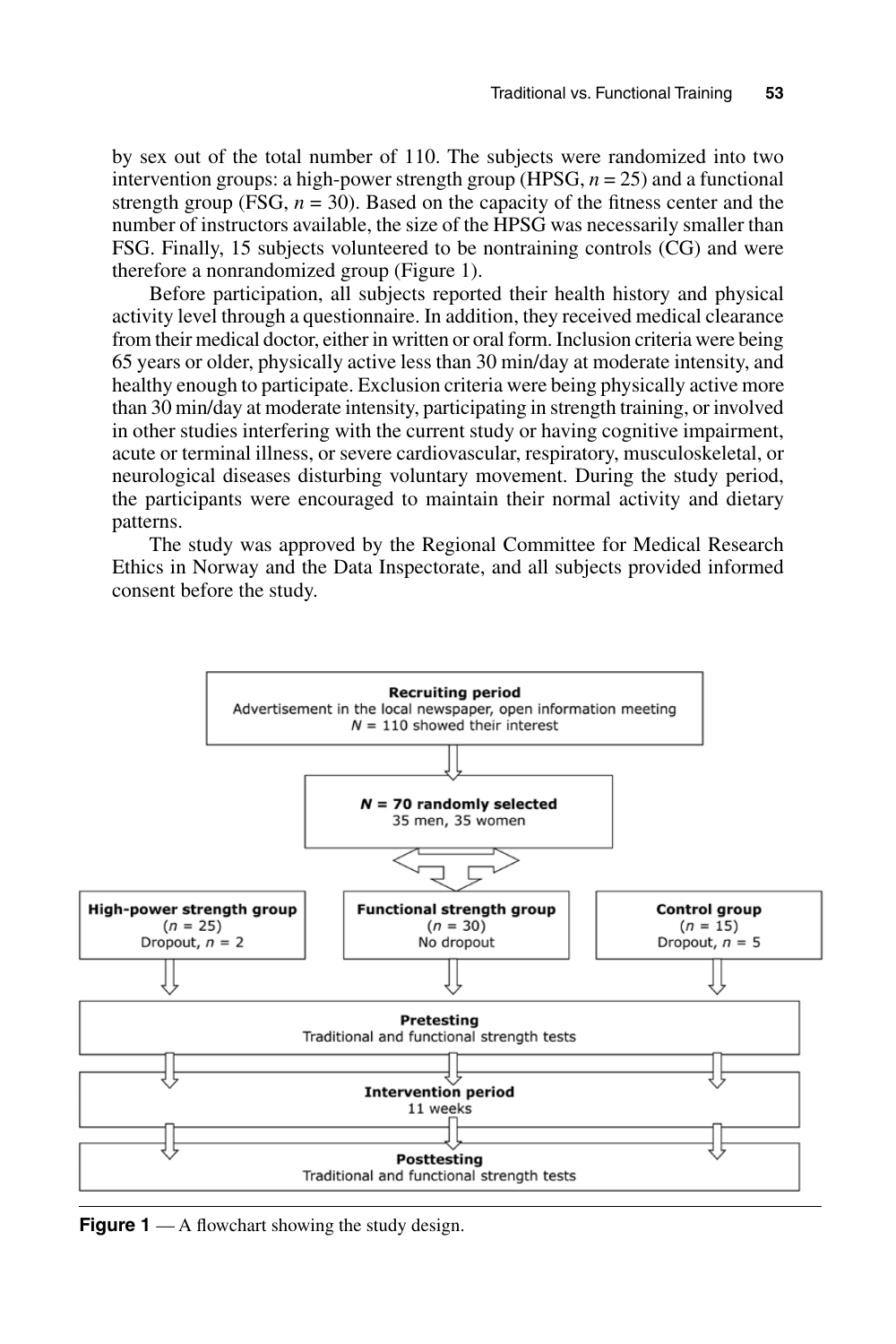by sex out of the total number of 110. The subjects were randomized into two intervention groups: a high-power strength group (HPSG,  $n = 25$ ) and a functional strength group (FSG,  $n = 30$ ). Based on the capacity of the fitness center and the number of instructors available, the size of the HPSG was necessarily smaller than FSG. Finally, 15 subjects volunteered to be nontraining controls (CG) and were therefore a nonrandomized group (Figure 1).

Before participation, all subjects reported their health history and physical activity level through a questionnaire. In addition, they received medical clearance from their medical doctor, either in written or oral form. Inclusion criteria were being 65 years or older, physically active less than 30 min/day at moderate intensity, and healthy enough to participate. Exclusion criteria were being physically active more than 30 min/day at moderate intensity, participating in strength training, or involved in other studies interfering with the current study or having cognitive impairment, acute or terminal illness, or severe cardiovascular, respiratory, musculoskeletal, or neurological diseases disturbing voluntary movement. During the study period, the participants were encouraged to maintain their normal activity and dietary patterns.

The study was approved by the Regional Committee for Medical Research Ethics in Norway and the Data Inspectorate, and all subjects provided informed consent before the study.



**Figure 1** — A flowchart showing the study design.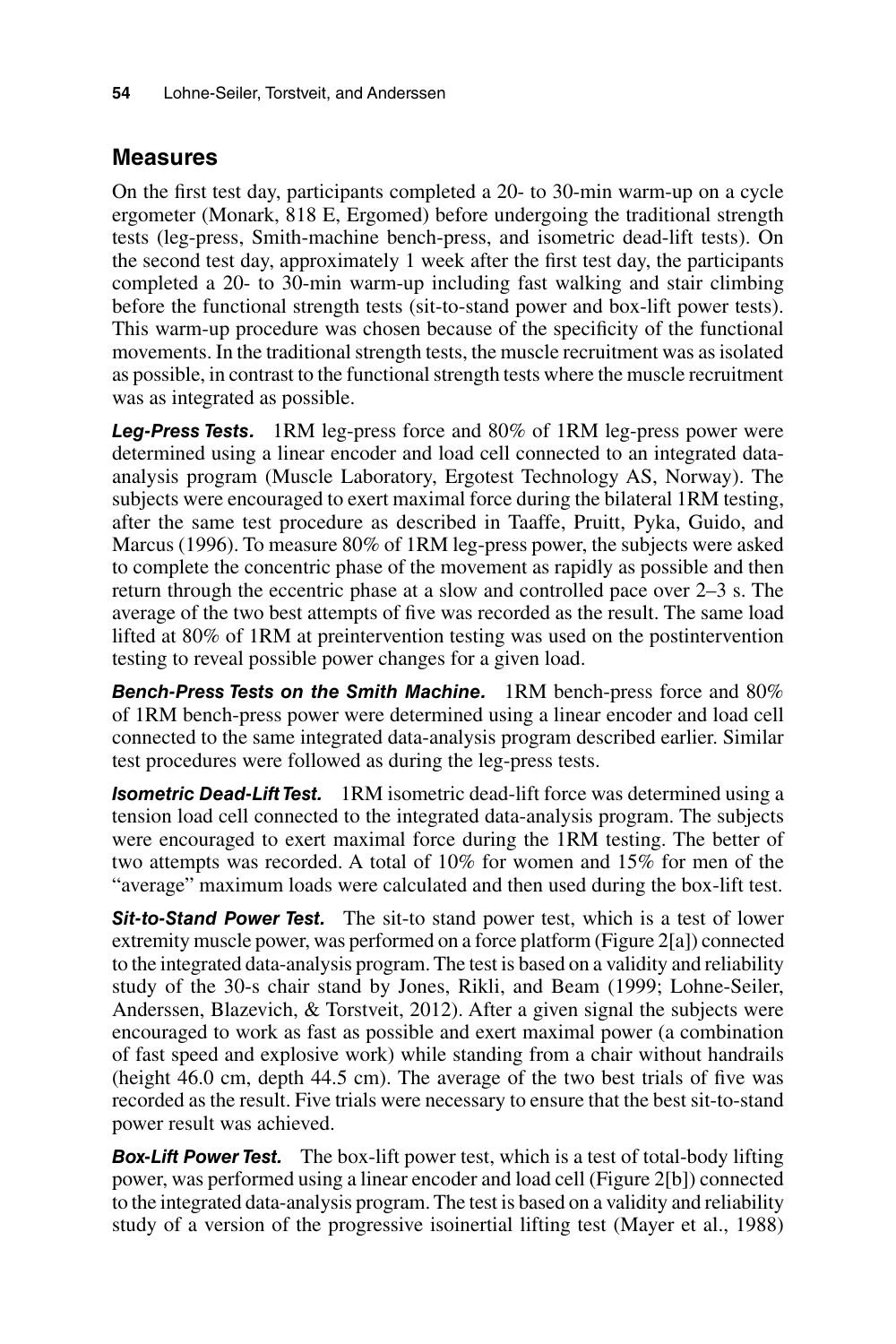### **Measures**

On the first test day, participants completed a 20- to 30-min warm-up on a cycle ergometer (Monark, 818 E, Ergomed) before undergoing the traditional strength tests (leg-press, Smith-machine bench-press, and isometric dead-lift tests). On the second test day, approximately 1 week after the first test day, the participants completed a 20- to 30-min warm-up including fast walking and stair climbing before the functional strength tests (sit-to-stand power and box-lift power tests). This warm-up procedure was chosen because of the specificity of the functional movements. In the traditional strength tests, the muscle recruitment was as isolated as possible, in contrast to the functional strength tests where the muscle recruitment was as integrated as possible.

*Leg-Press Tests.* 1RM leg-press force and 80% of 1RM leg-press power were determined using a linear encoder and load cell connected to an integrated dataanalysis program (Muscle Laboratory, Ergotest Technology AS, Norway). The subjects were encouraged to exert maximal force during the bilateral 1RM testing, after the same test procedure as described in Taaffe, Pruitt, Pyka, Guido, and Marcus (1996). To measure 80% of 1RM leg-press power, the subjects were asked to complete the concentric phase of the movement as rapidly as possible and then return through the eccentric phase at a slow and controlled pace over 2–3 s. The average of the two best attempts of five was recorded as the result. The same load lifted at 80% of 1RM at preintervention testing was used on the postintervention testing to reveal possible power changes for a given load.

*Bench-Press Tests on the Smith Machine.* 1RM bench-press force and 80% of 1RM bench-press power were determined using a linear encoder and load cell connected to the same integrated data-analysis program described earlier. Similar test procedures were followed as during the leg-press tests.

*Isometric Dead-Lift Test.* 1RM isometric dead-lift force was determined using a tension load cell connected to the integrated data-analysis program. The subjects were encouraged to exert maximal force during the 1RM testing. The better of two attempts was recorded. A total of 10% for women and 15% for men of the "average" maximum loads were calculated and then used during the box-lift test.

*Sit-to-Stand Power Test.* The sit-to stand power test, which is a test of lower extremity muscle power, was performed on a force platform (Figure 2[a]) connected to the integrated data-analysis program. The test is based on a validity and reliability study of the 30-s chair stand by Jones, Rikli, and Beam (1999; Lohne-Seiler, Anderssen, Blazevich, & Torstveit, 2012). After a given signal the subjects were encouraged to work as fast as possible and exert maximal power (a combination of fast speed and explosive work) while standing from a chair without handrails (height 46.0 cm, depth 44.5 cm). The average of the two best trials of five was recorded as the result. Five trials were necessary to ensure that the best sit-to-stand power result was achieved.

**Box-Lift Power Test.** The box-lift power test, which is a test of total-body lifting power, was performed using a linear encoder and load cell (Figure 2[b]) connected to the integrated data-analysis program. The test is based on a validity and reliability study of a version of the progressive isoinertial lifting test (Mayer et al., 1988)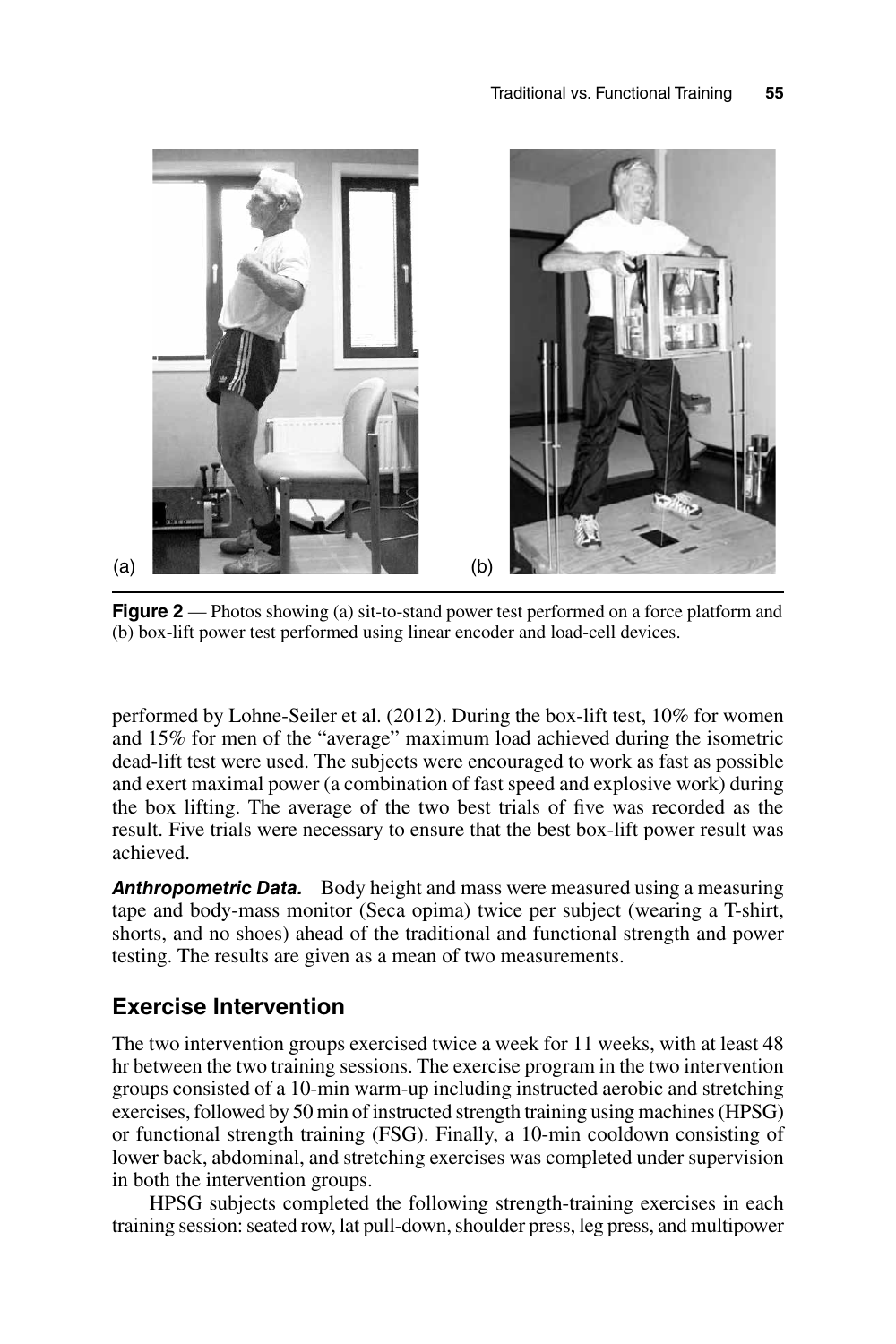

**Figure 2** — Photos showing (a) sit-to-stand power test performed on a force platform and (b) box-lift power test performed using linear encoder and load-cell devices.

performed by Lohne-Seiler et al. (2012). During the box-lift test, 10% for women and 15% for men of the "average" maximum load achieved during the isometric dead-lift test were used. The subjects were encouraged to work as fast as possible and exert maximal power (a combination of fast speed and explosive work) during the box lifting. The average of the two best trials of five was recorded as the result. Five trials were necessary to ensure that the best box-lift power result was achieved.

**Anthropometric Data.** Body height and mass were measured using a measuring tape and body-mass monitor (Seca opima) twice per subject (wearing a T-shirt, shorts, and no shoes) ahead of the traditional and functional strength and power testing. The results are given as a mean of two measurements.

### **Exercise Intervention**

The two intervention groups exercised twice a week for 11 weeks, with at least 48 hr between the two training sessions. The exercise program in the two intervention groups consisted of a 10-min warm-up including instructed aerobic and stretching exercises, followed by 50 min of instructed strength training using machines (HPSG) or functional strength training (FSG). Finally, a 10-min cooldown consisting of lower back, abdominal, and stretching exercises was completed under supervision in both the intervention groups.

HPSG subjects completed the following strength-training exercises in each training session: seated row, lat pull-down, shoulder press, leg press, and multipower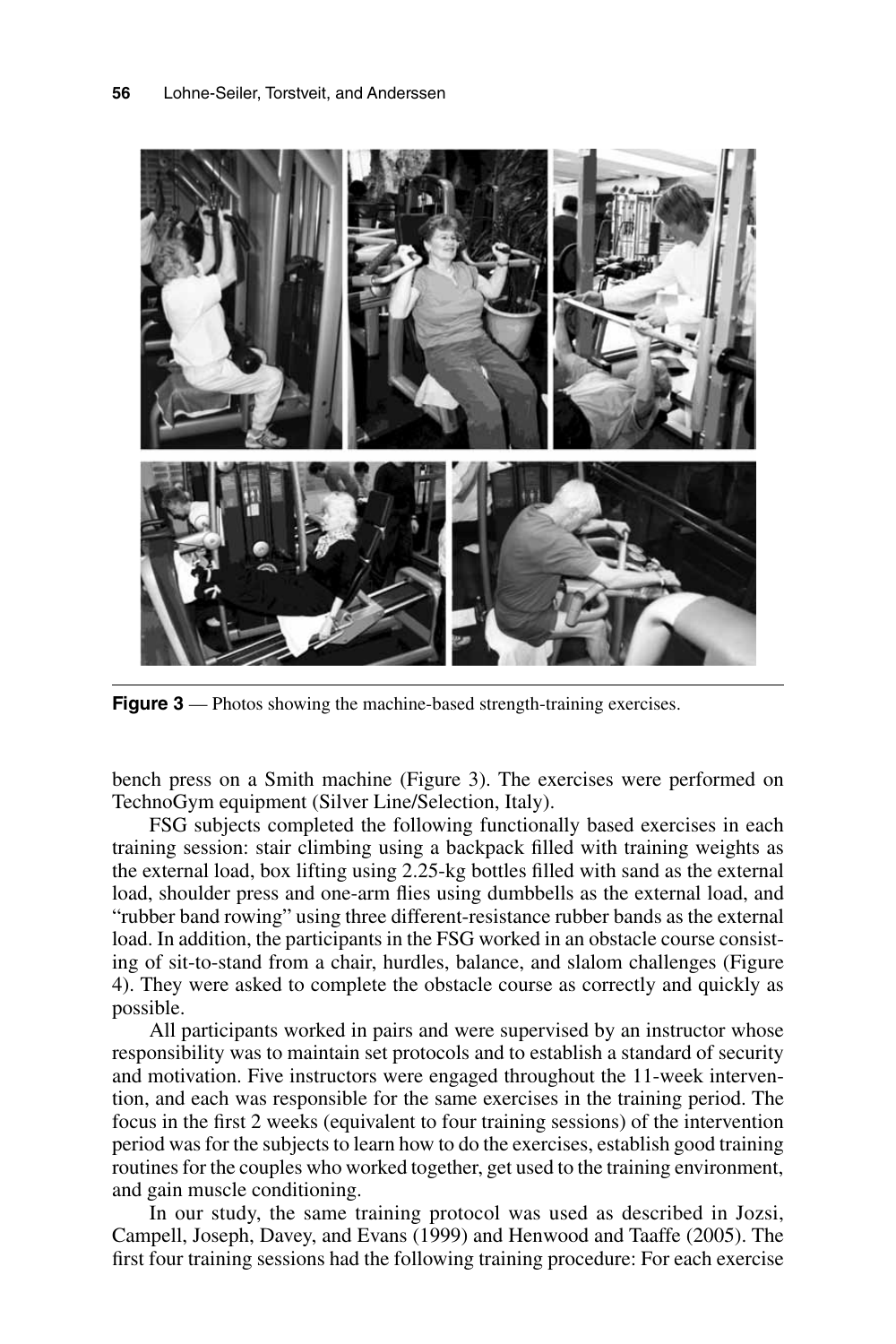

**Figure 3** — Photos showing the machine-based strength-training exercises.

bench press on a Smith machine (Figure 3). The exercises were performed on TechnoGym equipment (Silver Line/Selection, Italy).

FSG subjects completed the following functionally based exercises in each training session: stair climbing using a backpack filled with training weights as the external load, box lifting using 2.25-kg bottles filled with sand as the external load, shoulder press and one-arm flies using dumbbells as the external load, and "rubber band rowing" using three different-resistance rubber bands as the external load. In addition, the participants in the FSG worked in an obstacle course consisting of sit-to-stand from a chair, hurdles, balance, and slalom challenges (Figure 4). They were asked to complete the obstacle course as correctly and quickly as possible.

All participants worked in pairs and were supervised by an instructor whose responsibility was to maintain set protocols and to establish a standard of security and motivation. Five instructors were engaged throughout the 11-week intervention, and each was responsible for the same exercises in the training period. The focus in the first 2 weeks (equivalent to four training sessions) of the intervention period was for the subjects to learn how to do the exercises, establish good training routines for the couples who worked together, get used to the training environment, and gain muscle conditioning.

In our study, the same training protocol was used as described in Jozsi, Campell, Joseph, Davey, and Evans (1999) and Henwood and Taaffe (2005). The first four training sessions had the following training procedure: For each exercise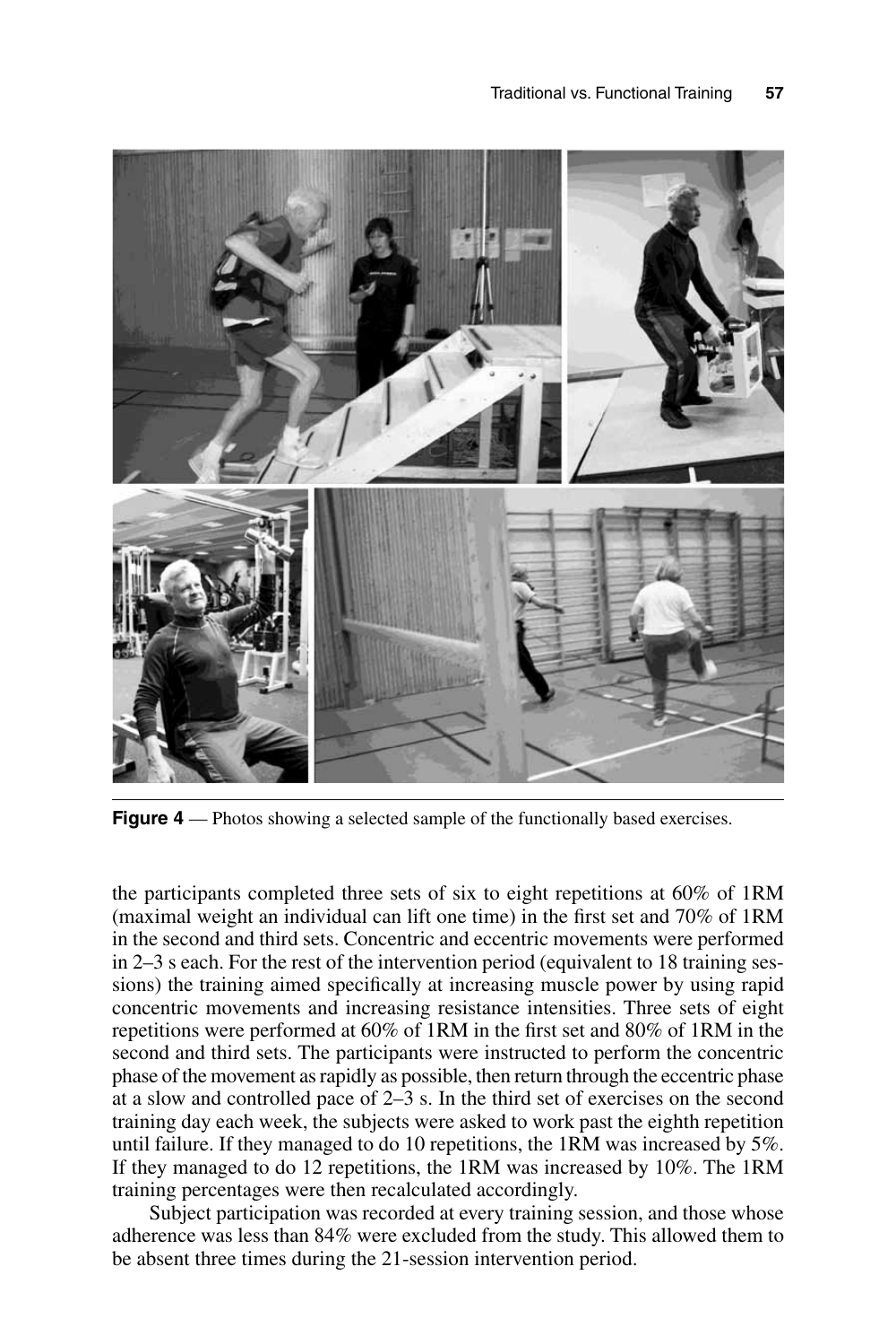

**Figure 4** — Photos showing a selected sample of the functionally based exercises.

the participants completed three sets of six to eight repetitions at 60% of 1RM (maximal weight an individual can lift one time) in the first set and 70% of 1RM in the second and third sets. Concentric and eccentric movements were performed in 2–3 s each. For the rest of the intervention period (equivalent to 18 training sessions) the training aimed specifically at increasing muscle power by using rapid concentric movements and increasing resistance intensities. Three sets of eight repetitions were performed at 60% of 1RM in the first set and 80% of 1RM in the second and third sets. The participants were instructed to perform the concentric phase of the movement as rapidly as possible, then return through the eccentric phase at a slow and controlled pace of 2–3 s. In the third set of exercises on the second training day each week, the subjects were asked to work past the eighth repetition until failure. If they managed to do 10 repetitions, the 1RM was increased by 5%. If they managed to do 12 repetitions, the 1RM was increased by 10%. The 1RM training percentages were then recalculated accordingly.

Subject participation was recorded at every training session, and those whose adherence was less than 84% were excluded from the study. This allowed them to be absent three times during the 21-session intervention period.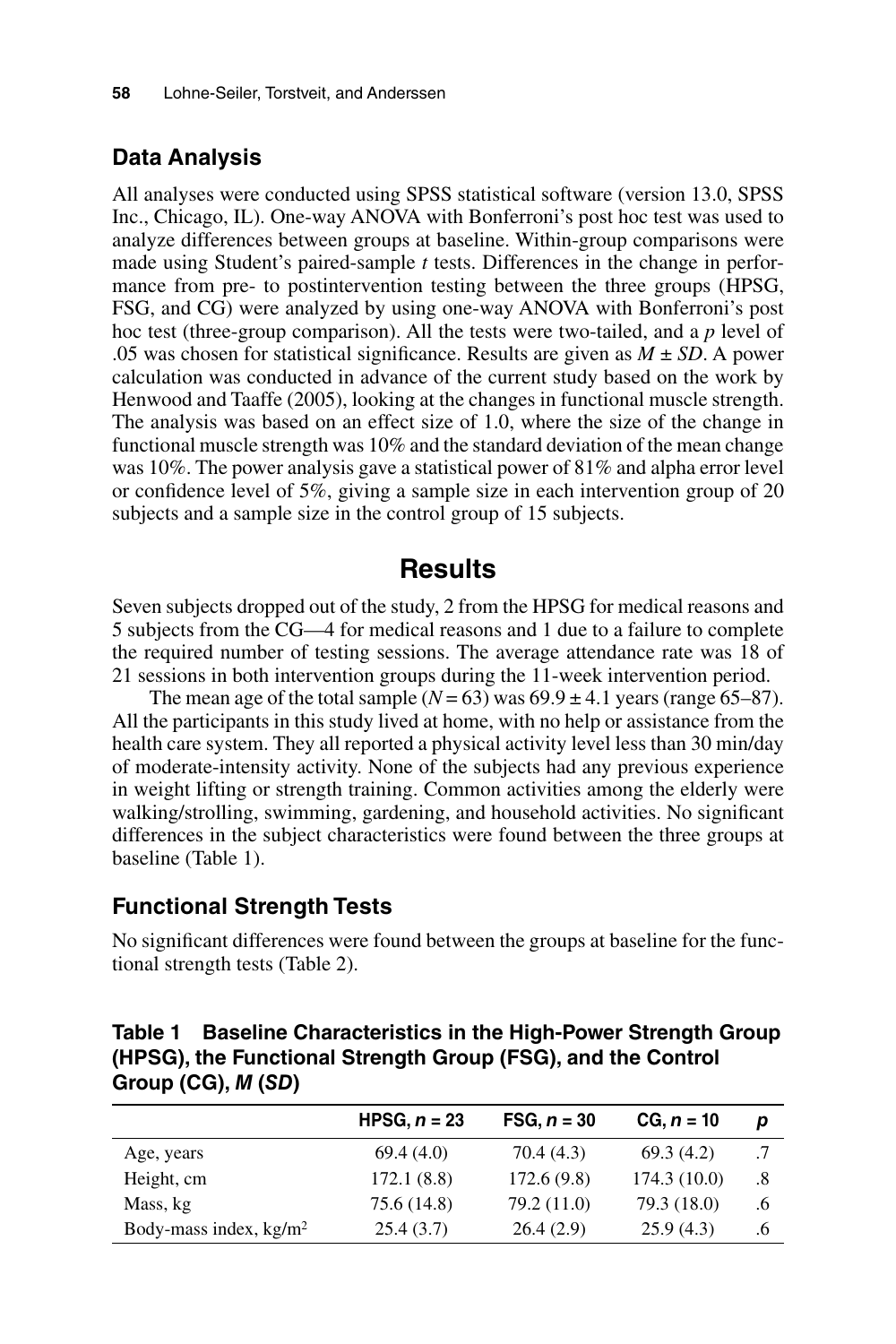### **Data Analysis**

All analyses were conducted using SPSS statistical software (version 13.0, SPSS Inc., Chicago, IL). One-way ANOVA with Bonferroni's post hoc test was used to analyze differences between groups at baseline. Within-group comparisons were made using Student's paired-sample *t* tests. Differences in the change in performance from pre- to postintervention testing between the three groups (HPSG, FSG, and CG) were analyzed by using one-way ANOVA with Bonferroni's post hoc test (three-group comparison). All the tests were two-tailed, and a *p* level of .05 was chosen for statistical significance. Results are given as *M* ± *SD*. A power calculation was conducted in advance of the current study based on the work by Henwood and Taaffe (2005), looking at the changes in functional muscle strength. The analysis was based on an effect size of 1.0, where the size of the change in functional muscle strength was 10% and the standard deviation of the mean change was 10%. The power analysis gave a statistical power of 81% and alpha error level or confidence level of 5%, giving a sample size in each intervention group of 20 subjects and a sample size in the control group of 15 subjects.

# **Results**

Seven subjects dropped out of the study, 2 from the HPSG for medical reasons and 5 subjects from the CG—4 for medical reasons and 1 due to a failure to complete the required number of testing sessions. The average attendance rate was 18 of 21 sessions in both intervention groups during the 11-week intervention period.

The mean age of the total sample  $(N = 63)$  was  $69.9 \pm 4.1$  years (range 65–87). All the participants in this study lived at home, with no help or assistance from the health care system. They all reported a physical activity level less than 30 min/day of moderate-intensity activity. None of the subjects had any previous experience in weight lifting or strength training. Common activities among the elderly were walking/strolling, swimming, gardening, and household activities. No significant differences in the subject characteristics were found between the three groups at baseline (Table 1).

### **Functional Strength Tests**

No significant differences were found between the groups at baseline for the functional strength tests (Table 2).

**Table 1 Baseline Characteristics in the High-Power Strength Group (HPSG), the Functional Strength Group (FSG), and the Control Group (CG),** *M* **(***SD***)**

|                          | HPSG, $n = 23$ | $FSG, n = 30$ | $CG, n = 10$ | р   |
|--------------------------|----------------|---------------|--------------|-----|
| Age, years               | 69.4(4.0)      | 70.4 (4.3)    | 69.3(4.2)    |     |
| Height, cm               | 172.1(8.8)     | 172.6(9.8)    | 174.3(10.0)  | .8  |
| Mass, kg                 | 75.6 (14.8)    | 79.2 (11.0)   | 79.3 (18.0)  | 6.6 |
| Body-mass index, $kg/m2$ | 25.4(3.7)      | 26.4(2.9)     | 25.9(4.3)    | .6  |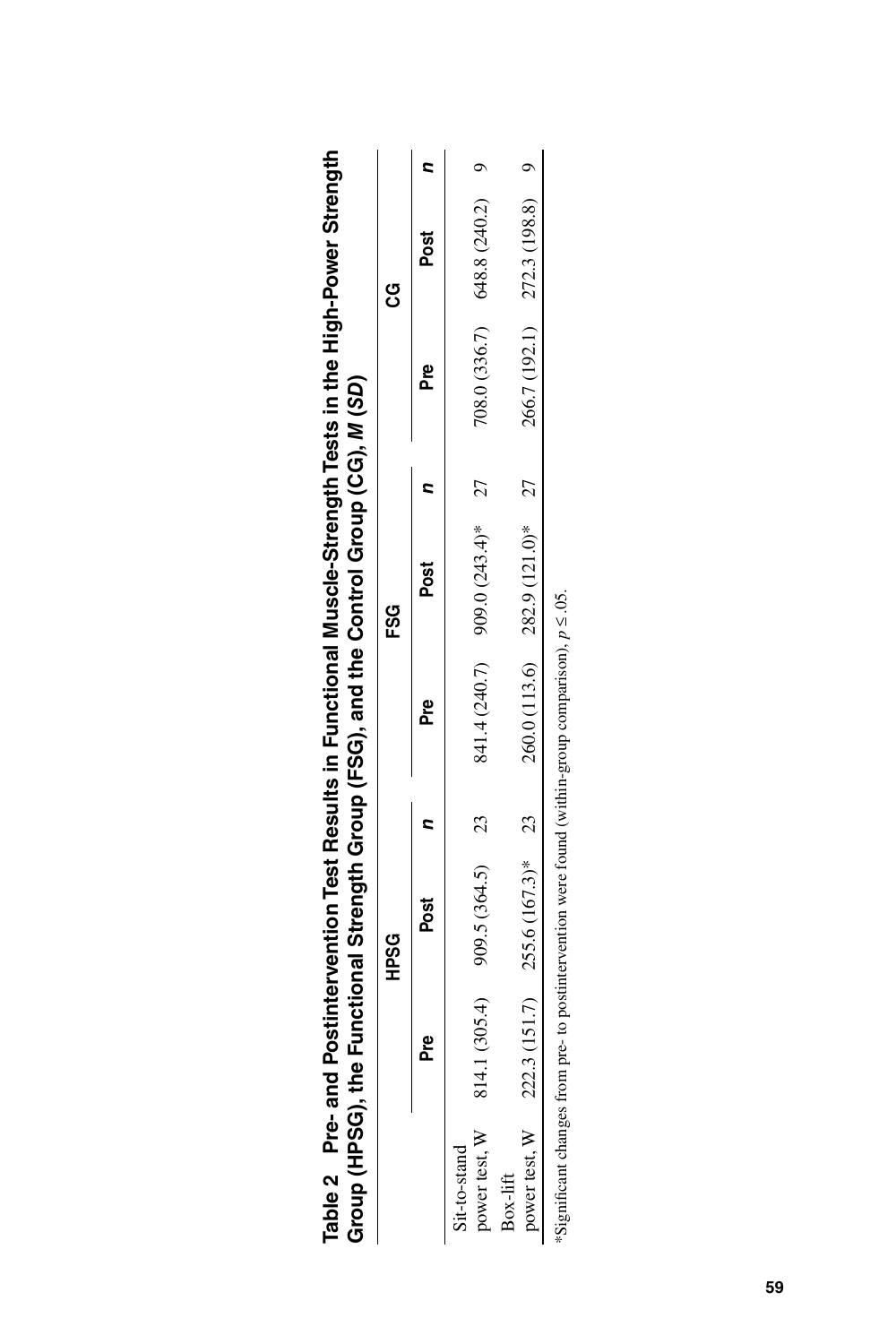|                                  |     | <b>CSSCH</b>                                     | Group (HPSG), the Functional Strength Group (FSG), and the Control Group (CG), M (SD)                  | ESG<br>E                         |        | ვ<br>ე                         |  |
|----------------------------------|-----|--------------------------------------------------|--------------------------------------------------------------------------------------------------------|----------------------------------|--------|--------------------------------|--|
|                                  | Pre | Post                                             | e<br>Pre                                                                                               | Post                             | բ<br>ե | Post                           |  |
| power test, W 81.<br>it-to-stand |     | 4.1 $(305.4)$ 909.5 $(364.5)$ 23                 |                                                                                                        | $841.4(240.7)$ 9000 $(70.60)$ 27 |        | $708.0(336.7)$ 648.8 (240.2) 9 |  |
| Box-lift                         |     | power test, W 222.3 (151.7) $255.6 (167.3)^*$ 23 |                                                                                                        | 260.0 (113.6) 282.9 (121.0)* 27  |        | 266.7 (192.1) 272.3 (198.8) 9  |  |
|                                  |     |                                                  | *Significant changes from me- to nostintervention were found (within-group comparison), $p \leq 0.5$ . |                                  |        |                                |  |

Pre- and Postintervention Test Results in Functional Muscle-Strength Tests in the High-Power Strength **Table 2 Pre- and Postintervention Test Results in Functional Muscle-Strength Tests in the High-Power Strength**  Table 2

\*Significant changes from pre- to postintervention were found (within-group comparison), *p* ≤ .05.à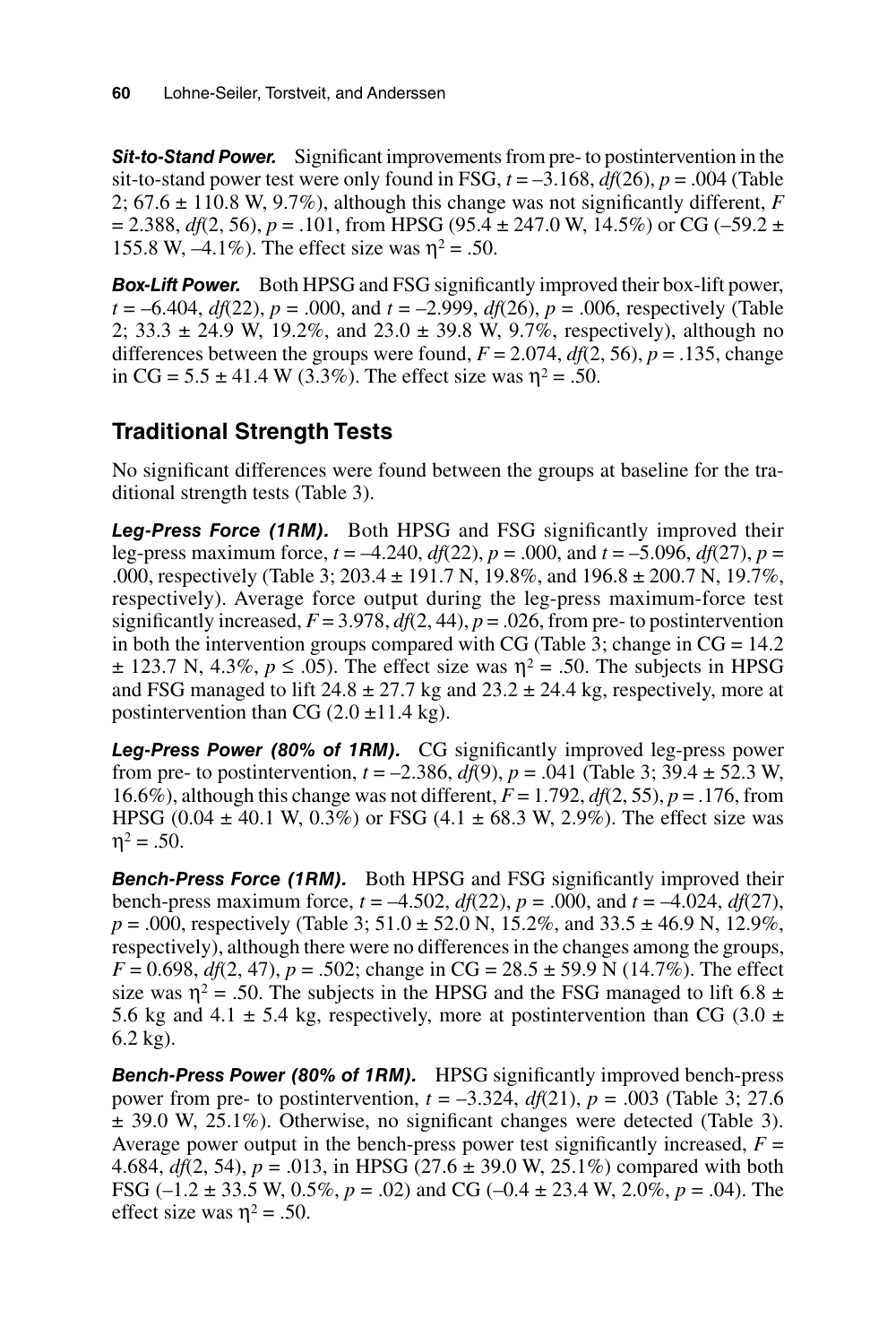*Sit-to-Stand Power.* Significant improvements from pre- to postintervention in the sit-to-stand power test were only found in FSG,  $t = -3.168$ ,  $df(26)$ ,  $p = .004$  (Table 2; 67.6 ± 110.8 W, 9.7%), although this change was not significantly different, *F*  $= 2.388$ ,  $df(2, 56)$ ,  $p = .101$ , from HPSG (95.4  $\pm$  247.0 W, 14.5%) or CG (-59.2  $\pm$ 155.8 W,  $-4.1\%$ ). The effect size was  $\eta^2 = .50$ .

*Box-Lift Power.* Both HPSG and FSG significantly improved their box-lift power, *t* = –6.404, *df*(22), *p* = .000, and *t* = –2.999, *df*(26), *p* = .006, respectively (Table 2;  $33.3 \pm 24.9 \text{ W}$ ,  $19.2\%$ , and  $23.0 \pm 39.8 \text{ W}$ ,  $9.7\%$ , respectively), although no differences between the groups were found,  $F = 2.074$ ,  $df(2, 56)$ ,  $p = .135$ , change in CG =  $5.5 \pm 41.4 \text{ W } (3.3\%)$ . The effect size was  $\eta^2 = .50$ .

# **Traditional Strength Tests**

No significant differences were found between the groups at baseline for the traditional strength tests (Table 3).

*Leg-Press Force (1RM).* Both HPSG and FSG significantly improved their leg-press maximum force, *t* = –4.240, *df*(22), *p* = .000, and *t* = –5.096, *df*(27), *p* = .000, respectively (Table 3; 203.4 ± 191.7 N, 19.8%, and 196.8 ± 200.7 N, 19.7%, respectively). Average force output during the leg-press maximum-force test significantly increased,  $F = 3.978$ ,  $df(2, 44)$ ,  $p = .026$ , from pre- to postintervention in both the intervention groups compared with CG (Table 3; change in  $CG = 14.2$ )  $\pm$  123.7 N, 4.3%,  $p \leq 0.05$ ). The effect size was  $\eta^2 = 0.50$ . The subjects in HPSG and FSG managed to lift  $24.8 \pm 27.7$  kg and  $23.2 \pm 24.4$  kg, respectively, more at postintervention than CG  $(2.0 \pm 11.4 \text{ kg})$ .

*Leg-Press Power (80% of 1RM).* CG significantly improved leg-press power from pre- to postintervention,  $t = -2.386$ ,  $df(9)$ ,  $p = .041$  (Table 3;  $39.4 \pm 52.3$  W, 16.6%), although this change was not different, *F* = 1.792, *df*(2, 55), *p* = .176, from HPSG (0.04  $\pm$  40.1 W, 0.3%) or FSG (4.1  $\pm$  68.3 W, 2.9%). The effect size was  $\eta^2 = .50$ .

**Bench-Press Force (1RM).** Both HPSG and FSG significantly improved their bench-press maximum force,  $t = -4.502$ ,  $df(22)$ ,  $p = .000$ , and  $t = -4.024$ ,  $df(27)$ ,  $p = .000$ , respectively (Table 3; 51.0  $\pm$  52.0 N, 15.2%, and 33.5  $\pm$  46.9 N, 12.9%, respectively), although there were no differences in the changes among the groups,  $F = 0.698$ ,  $df(2, 47)$ ,  $p = .502$ ; change in CG = 28.5  $\pm$  59.9 N (14.7%). The effect size was  $\eta^2$  = .50. The subjects in the HPSG and the FSG managed to lift 6.8  $\pm$ 5.6 kg and 4.1  $\pm$  5.4 kg, respectively, more at postintervention than CG (3.0  $\pm$ 6.2 kg).

*Bench-Press Power (80% of 1RM).* HPSG significantly improved bench-press power from pre- to postintervention, *t* = –3.324, *df*(21), *p* = .003 (Table 3; 27.6  $\pm$  39.0 W, 25.1%). Otherwise, no significant changes were detected (Table 3). Average power output in the bench-press power test significantly increased,  $F =$ 4.684, *df*(2, 54), *p* = .013, in HPSG (27.6 ± 39.0 W, 25.1%) compared with both FSG (–1.2 ± 33.5 W, 0.5%, *p* = .02) and CG (–0.4 ± 23.4 W, 2.0%, *p* = .04). The effect size was  $\eta^2$  = .50.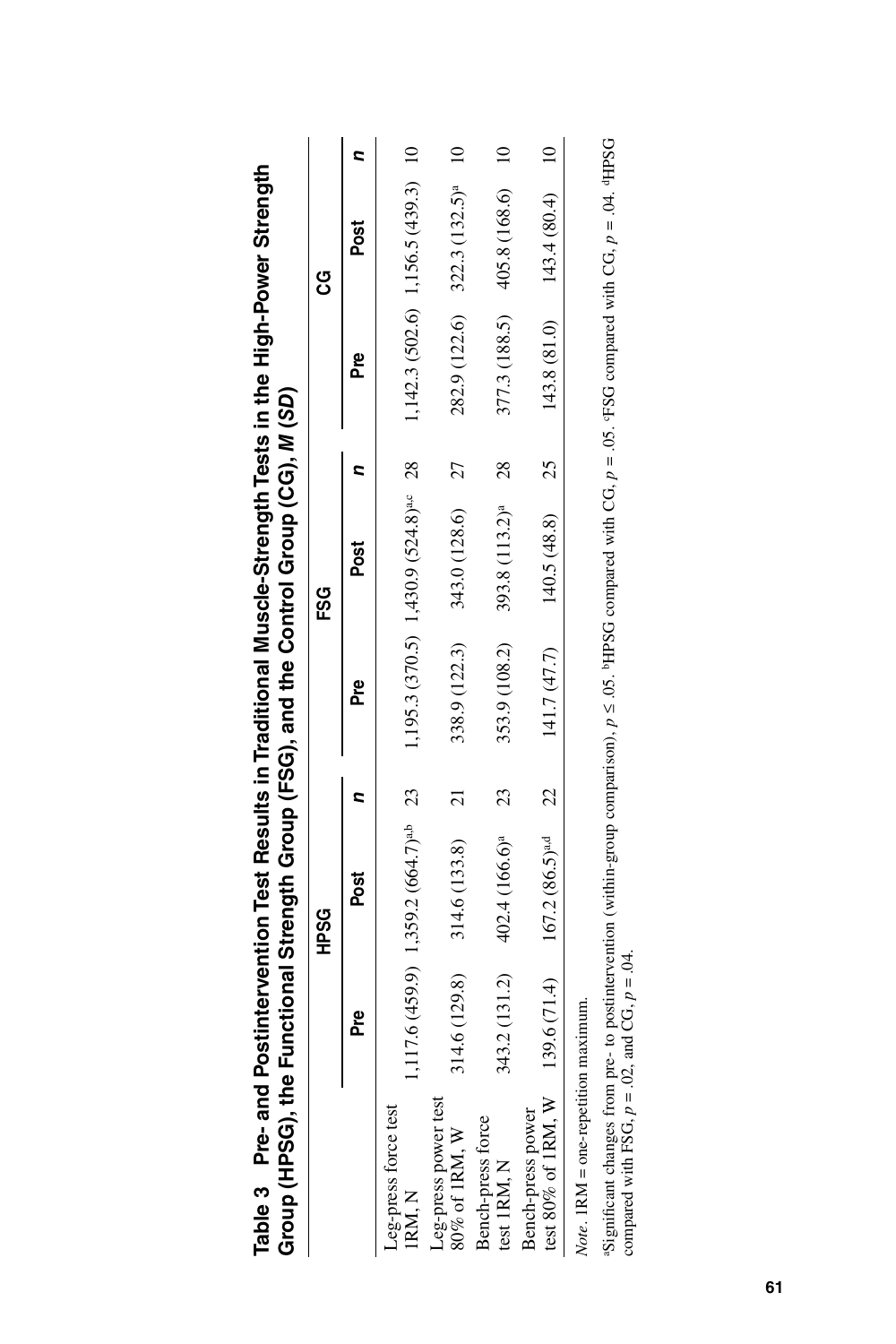|                                                                                                                                                                                                                                                                         |               | <b>CSSH</b>                               |                |               | FSG                                               |                |               | ပ္ပ                                 |  |
|-------------------------------------------------------------------------------------------------------------------------------------------------------------------------------------------------------------------------------------------------------------------------|---------------|-------------------------------------------|----------------|---------------|---------------------------------------------------|----------------|---------------|-------------------------------------|--|
|                                                                                                                                                                                                                                                                         | Pre           | Post                                      |                | Pre           | Post                                              |                | Pre           | Post                                |  |
| Leg-press force test<br>IRM, N                                                                                                                                                                                                                                          |               | $117.6(459.9)$ 1,359.2 $(664.7)^{a,b}$ 23 |                |               | 1,195.3 (370.5) 1,430.9 (524.8) <sup>a,c</sup> 28 |                |               | $1,142.3(502.6)$ 1,156.5 (439.3) 10 |  |
| Leg-press power test<br>80% of 1RM, W                                                                                                                                                                                                                                   | 4.6 (129.8)   | 314.6 (133.8)                             | $\overline{c}$ | 338.9 (122.3) | 343.0 (128.6)                                     | 27             |               | $282.9(122.6)$ $322.3(132.5)^a$ 10  |  |
| Bench-press force<br>test 1RM, N                                                                                                                                                                                                                                        | 343.2 (131.2) | 402.4 (166.6) <sup>a</sup>                | 23             | 353.9 (108.2) | 393.8 (113.2) <sup>a</sup>                        | $\frac{28}{2}$ | 377.3 (188.5) | 405.8 (168.6)                       |  |
| test 80% of 1RM, W<br>Bench-press power                                                                                                                                                                                                                                 |               | 39.6 $(71.4)$ 167.2 $(86.5)^{a,d}$ 22     |                | 141.7 (47.7)  | $140.5(48.8)$ 25                                  |                |               | $143.8(81.0)$ $143.4(80.4)$         |  |
| Significant changes from pre- to postintervention (within-group comparison), $p \le 0.05$ . PHPSG compared with CG, $p = 0.05$ . PFSG compared with CG, $p = 0.04$ . PHPSG<br>compared with FSG, $p = .02$ , and CG, $p = .04$ .<br>Note. 1RM = one-repetition maximum. |               |                                           |                |               |                                                   |                |               |                                     |  |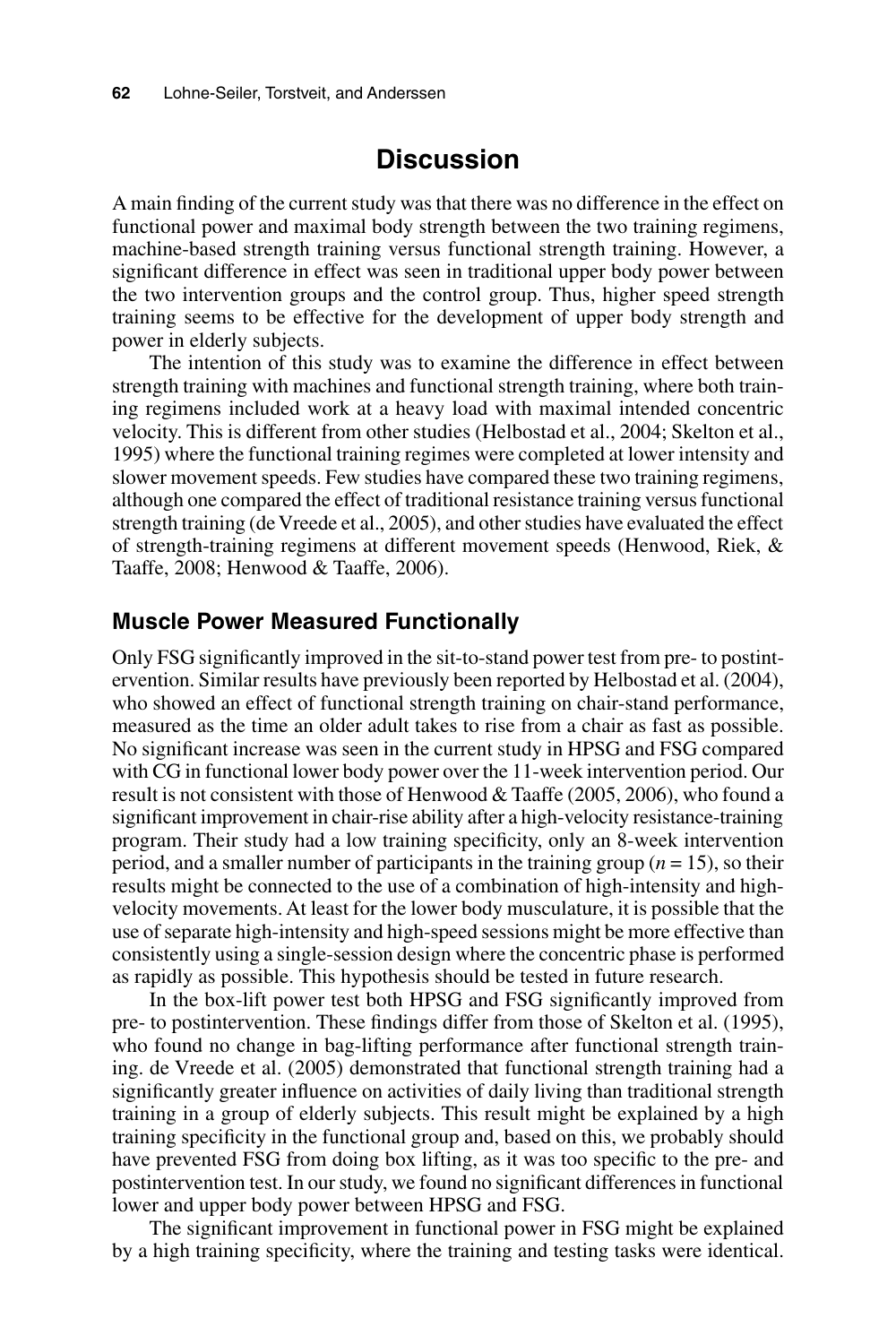### **Discussion**

A main finding of the current study was that there was no difference in the effect on functional power and maximal body strength between the two training regimens, machine-based strength training versus functional strength training. However, a significant difference in effect was seen in traditional upper body power between the two intervention groups and the control group. Thus, higher speed strength training seems to be effective for the development of upper body strength and power in elderly subjects.

The intention of this study was to examine the difference in effect between strength training with machines and functional strength training, where both training regimens included work at a heavy load with maximal intended concentric velocity. This is different from other studies (Helbostad et al., 2004; Skelton et al., 1995) where the functional training regimes were completed at lower intensity and slower movement speeds. Few studies have compared these two training regimens, although one compared the effect of traditional resistance training versus functional strength training (de Vreede et al., 2005), and other studies have evaluated the effect of strength-training regimens at different movement speeds (Henwood, Riek, & Taaffe, 2008; Henwood & Taaffe, 2006).

#### **Muscle Power Measured Functionally**

Only FSG significantly improved in the sit-to-stand power test from pre- to postintervention. Similar results have previously been reported by Helbostad et al. (2004), who showed an effect of functional strength training on chair-stand performance, measured as the time an older adult takes to rise from a chair as fast as possible. No significant increase was seen in the current study in HPSG and FSG compared with CG in functional lower body power over the 11-week intervention period. Our result is not consistent with those of Henwood & Taaffe (2005, 2006), who found a significant improvement in chair-rise ability after a high-velocity resistance-training program. Their study had a low training specificity, only an 8-week intervention period, and a smaller number of participants in the training group  $(n = 15)$ , so their results might be connected to the use of a combination of high-intensity and highvelocity movements. At least for the lower body musculature, it is possible that the use of separate high-intensity and high-speed sessions might be more effective than consistently using a single-session design where the concentric phase is performed as rapidly as possible. This hypothesis should be tested in future research.

In the box-lift power test both HPSG and FSG significantly improved from pre- to postintervention. These findings differ from those of Skelton et al. (1995), who found no change in bag-lifting performance after functional strength training. de Vreede et al. (2005) demonstrated that functional strength training had a significantly greater influence on activities of daily living than traditional strength training in a group of elderly subjects. This result might be explained by a high training specificity in the functional group and, based on this, we probably should have prevented FSG from doing box lifting, as it was too specific to the pre- and postintervention test. In our study, we found no significant differences in functional lower and upper body power between HPSG and FSG.

The significant improvement in functional power in FSG might be explained by a high training specificity, where the training and testing tasks were identical.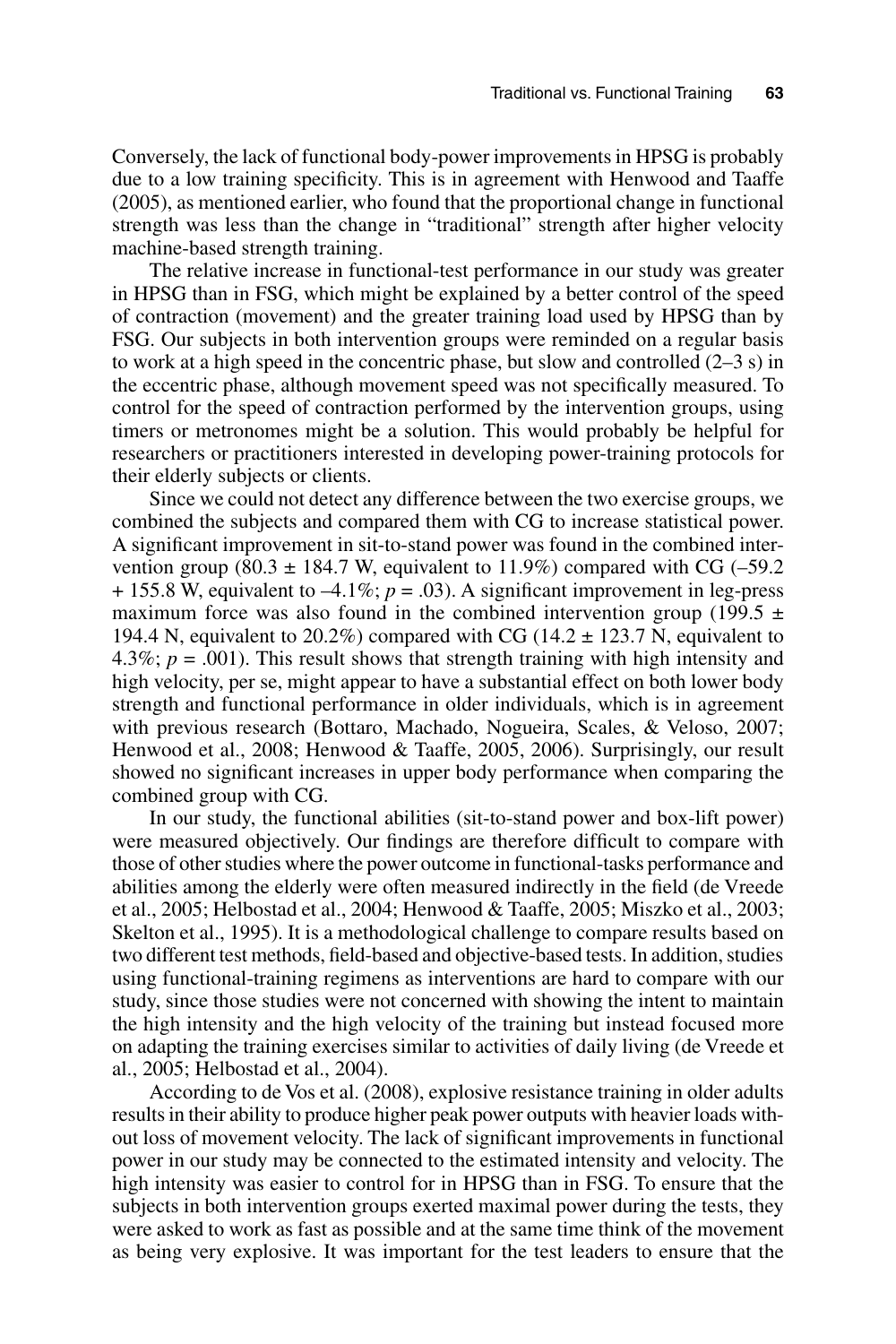Conversely, the lack of functional body-power improvements in HPSG is probably due to a low training specificity. This is in agreement with Henwood and Taaffe (2005), as mentioned earlier, who found that the proportional change in functional strength was less than the change in "traditional" strength after higher velocity machine-based strength training.

The relative increase in functional-test performance in our study was greater in HPSG than in FSG, which might be explained by a better control of the speed of contraction (movement) and the greater training load used by HPSG than by FSG. Our subjects in both intervention groups were reminded on a regular basis to work at a high speed in the concentric phase, but slow and controlled (2–3 s) in the eccentric phase, although movement speed was not specifically measured. To control for the speed of contraction performed by the intervention groups, using timers or metronomes might be a solution. This would probably be helpful for researchers or practitioners interested in developing power-training protocols for their elderly subjects or clients.

Since we could not detect any difference between the two exercise groups, we combined the subjects and compared them with CG to increase statistical power. A significant improvement in sit-to-stand power was found in the combined intervention group (80.3  $\pm$  184.7 W, equivalent to 11.9%) compared with CG (-59.2  $+ 155.8$  W, equivalent to  $-4.1\%$ ;  $p = .03$ ). A significant improvement in leg-press maximum force was also found in the combined intervention group (199.5  $\pm$ 194.4 N, equivalent to  $20.2\%$ ) compared with CG (14.2  $\pm$  123.7 N, equivalent to 4.3%;  $p = .001$ ). This result shows that strength training with high intensity and high velocity, per se, might appear to have a substantial effect on both lower body strength and functional performance in older individuals, which is in agreement with previous research (Bottaro, Machado, Nogueira, Scales, & Veloso, 2007; Henwood et al., 2008; Henwood & Taaffe, 2005, 2006). Surprisingly, our result showed no significant increases in upper body performance when comparing the combined group with CG.

In our study, the functional abilities (sit-to-stand power and box-lift power) were measured objectively. Our findings are therefore difficult to compare with those of other studies where the power outcome in functional-tasks performance and abilities among the elderly were often measured indirectly in the field (de Vreede et al., 2005; Helbostad et al., 2004; Henwood & Taaffe, 2005; Miszko et al., 2003; Skelton et al., 1995). It is a methodological challenge to compare results based on two different test methods, field-based and objective-based tests. In addition, studies using functional-training regimens as interventions are hard to compare with our study, since those studies were not concerned with showing the intent to maintain the high intensity and the high velocity of the training but instead focused more on adapting the training exercises similar to activities of daily living (de Vreede et al., 2005; Helbostad et al., 2004).

According to de Vos et al. (2008), explosive resistance training in older adults results in their ability to produce higher peak power outputs with heavier loads without loss of movement velocity. The lack of significant improvements in functional power in our study may be connected to the estimated intensity and velocity. The high intensity was easier to control for in HPSG than in FSG. To ensure that the subjects in both intervention groups exerted maximal power during the tests, they were asked to work as fast as possible and at the same time think of the movement as being very explosive. It was important for the test leaders to ensure that the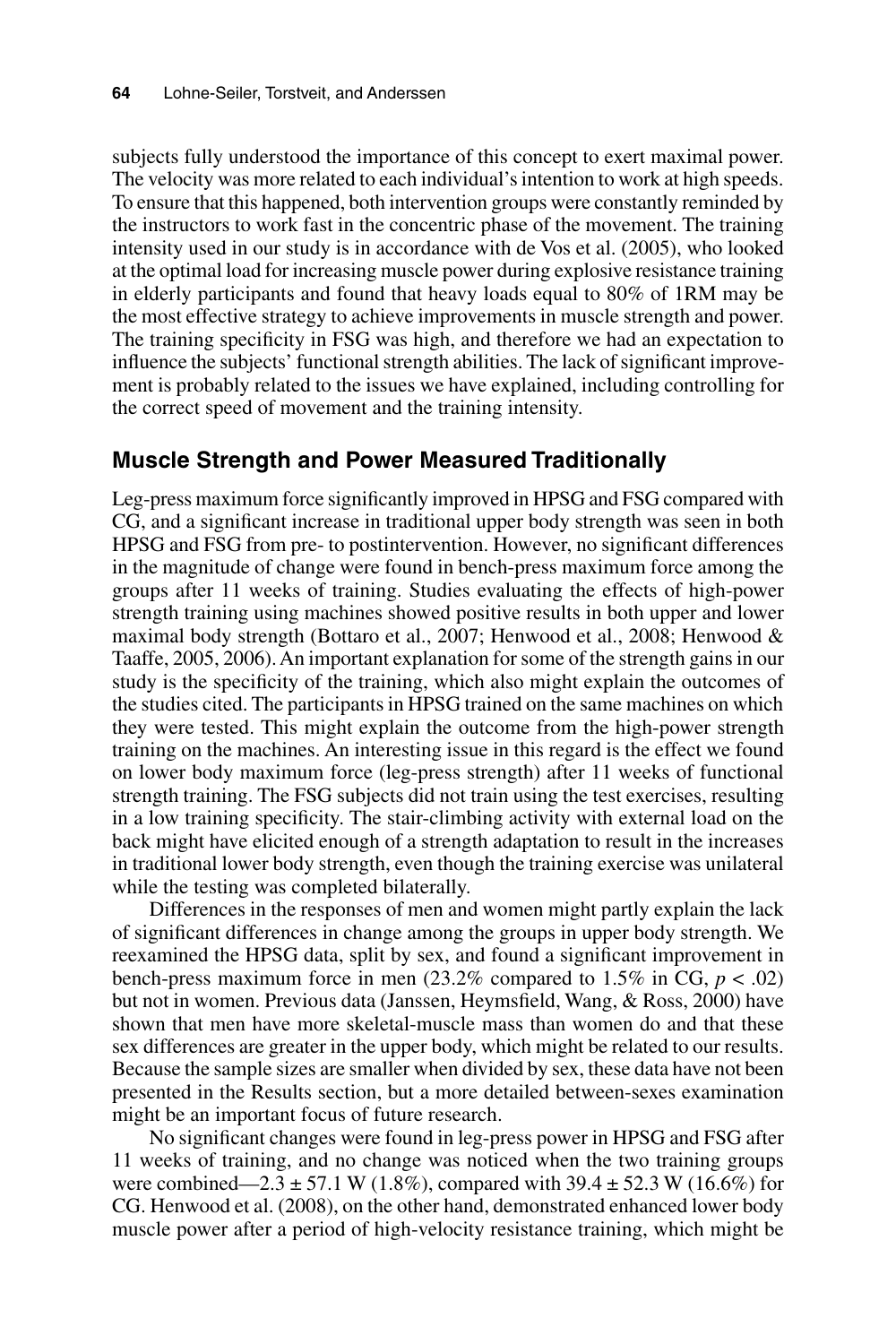subjects fully understood the importance of this concept to exert maximal power. The velocity was more related to each individual's intention to work at high speeds. To ensure that this happened, both intervention groups were constantly reminded by the instructors to work fast in the concentric phase of the movement. The training intensity used in our study is in accordance with de Vos et al. (2005), who looked at the optimal load for increasing muscle power during explosive resistance training in elderly participants and found that heavy loads equal to 80% of 1RM may be the most effective strategy to achieve improvements in muscle strength and power. The training specificity in FSG was high, and therefore we had an expectation to influence the subjects' functional strength abilities. The lack of significant improvement is probably related to the issues we have explained, including controlling for the correct speed of movement and the training intensity.

#### **Muscle Strength and Power Measured Traditionally**

Leg-press maximum force significantly improved in HPSG and FSG compared with CG, and a significant increase in traditional upper body strength was seen in both HPSG and FSG from pre- to postintervention. However, no significant differences in the magnitude of change were found in bench-press maximum force among the groups after 11 weeks of training. Studies evaluating the effects of high-power strength training using machines showed positive results in both upper and lower maximal body strength (Bottaro et al., 2007; Henwood et al., 2008; Henwood & Taaffe, 2005, 2006). An important explanation for some of the strength gains in our study is the specificity of the training, which also might explain the outcomes of the studies cited. The participants in HPSG trained on the same machines on which they were tested. This might explain the outcome from the high-power strength training on the machines. An interesting issue in this regard is the effect we found on lower body maximum force (leg-press strength) after 11 weeks of functional strength training. The FSG subjects did not train using the test exercises, resulting in a low training specificity. The stair-climbing activity with external load on the back might have elicited enough of a strength adaptation to result in the increases in traditional lower body strength, even though the training exercise was unilateral while the testing was completed bilaterally.

Differences in the responses of men and women might partly explain the lack of significant differences in change among the groups in upper body strength. We reexamined the HPSG data, split by sex, and found a significant improvement in bench-press maximum force in men  $(23.2\%$  compared to 1.5% in CG,  $p < .02$ ) but not in women. Previous data (Janssen, Heymsfield, Wang, & Ross, 2000) have shown that men have more skeletal-muscle mass than women do and that these sex differences are greater in the upper body, which might be related to our results. Because the sample sizes are smaller when divided by sex, these data have not been presented in the Results section, but a more detailed between-sexes examination might be an important focus of future research.

No significant changes were found in leg-press power in HPSG and FSG after 11 weeks of training, and no change was noticed when the two training groups were combined—2.3  $\pm$  57.1 W (1.8%), compared with 39.4  $\pm$  52.3 W (16.6%) for CG. Henwood et al. (2008), on the other hand, demonstrated enhanced lower body muscle power after a period of high-velocity resistance training, which might be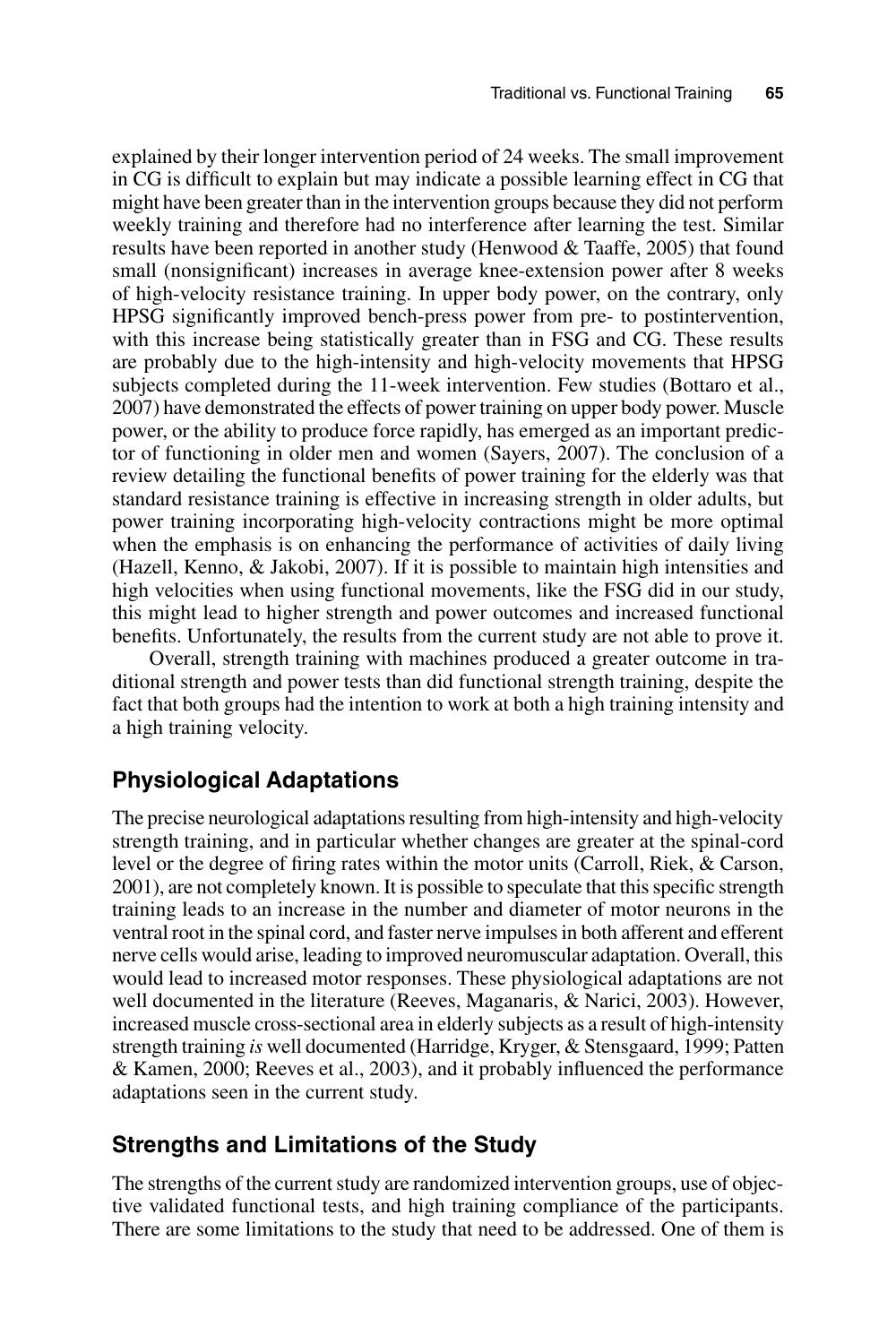explained by their longer intervention period of 24 weeks. The small improvement in CG is difficult to explain but may indicate a possible learning effect in CG that might have been greater than in the intervention groups because they did not perform weekly training and therefore had no interference after learning the test. Similar results have been reported in another study (Henwood & Taaffe, 2005) that found small (nonsignificant) increases in average knee-extension power after 8 weeks of high-velocity resistance training. In upper body power, on the contrary, only HPSG significantly improved bench-press power from pre- to postintervention, with this increase being statistically greater than in FSG and CG. These results are probably due to the high-intensity and high-velocity movements that HPSG subjects completed during the 11-week intervention. Few studies (Bottaro et al., 2007) have demonstrated the effects of power training on upper body power. Muscle power, or the ability to produce force rapidly, has emerged as an important predictor of functioning in older men and women (Sayers, 2007). The conclusion of a review detailing the functional benefits of power training for the elderly was that standard resistance training is effective in increasing strength in older adults, but power training incorporating high-velocity contractions might be more optimal when the emphasis is on enhancing the performance of activities of daily living (Hazell, Kenno, & Jakobi, 2007). If it is possible to maintain high intensities and high velocities when using functional movements, like the FSG did in our study, this might lead to higher strength and power outcomes and increased functional benefits. Unfortunately, the results from the current study are not able to prove it.

Overall, strength training with machines produced a greater outcome in traditional strength and power tests than did functional strength training, despite the fact that both groups had the intention to work at both a high training intensity and a high training velocity.

#### **Physiological Adaptations**

The precise neurological adaptations resulting from high-intensity and high-velocity strength training, and in particular whether changes are greater at the spinal-cord level or the degree of firing rates within the motor units (Carroll, Riek, & Carson, 2001), are not completely known. It is possible to speculate that this specific strength training leads to an increase in the number and diameter of motor neurons in the ventral root in the spinal cord, and faster nerve impulses in both afferent and efferent nerve cells would arise, leading to improved neuromuscular adaptation. Overall, this would lead to increased motor responses. These physiological adaptations are not well documented in the literature (Reeves, Maganaris, & Narici, 2003). However, increased muscle cross-sectional area in elderly subjects as a result of high-intensity strength training *is* well documented (Harridge, Kryger, & Stensgaard, 1999; Patten & Kamen, 2000; Reeves et al., 2003), and it probably influenced the performance adaptations seen in the current study.

#### **Strengths and Limitations of the Study**

The strengths of the current study are randomized intervention groups, use of objective validated functional tests, and high training compliance of the participants. There are some limitations to the study that need to be addressed. One of them is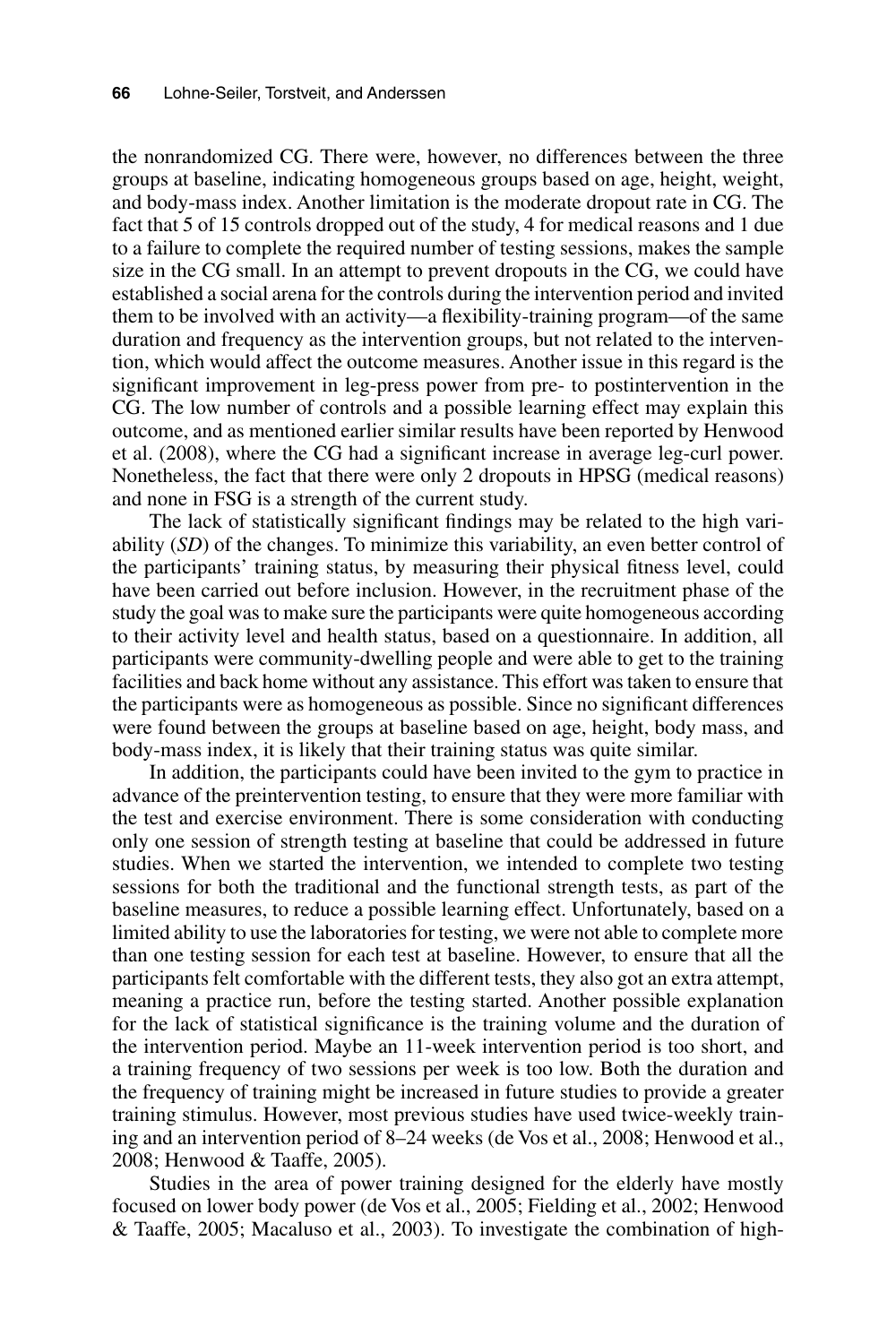the nonrandomized CG. There were, however, no differences between the three groups at baseline, indicating homogeneous groups based on age, height, weight, and body-mass index. Another limitation is the moderate dropout rate in CG. The fact that 5 of 15 controls dropped out of the study, 4 for medical reasons and 1 due to a failure to complete the required number of testing sessions, makes the sample size in the CG small. In an attempt to prevent dropouts in the CG, we could have established a social arena for the controls during the intervention period and invited them to be involved with an activity—a flexibility-training program—of the same duration and frequency as the intervention groups, but not related to the intervention, which would affect the outcome measures. Another issue in this regard is the significant improvement in leg-press power from pre- to postintervention in the CG. The low number of controls and a possible learning effect may explain this outcome, and as mentioned earlier similar results have been reported by Henwood et al. (2008), where the CG had a significant increase in average leg-curl power. Nonetheless, the fact that there were only 2 dropouts in HPSG (medical reasons) and none in FSG is a strength of the current study.

The lack of statistically significant findings may be related to the high variability (*SD*) of the changes. To minimize this variability, an even better control of the participants' training status, by measuring their physical fitness level, could have been carried out before inclusion. However, in the recruitment phase of the study the goal was to make sure the participants were quite homogeneous according to their activity level and health status, based on a questionnaire. In addition, all participants were community-dwelling people and were able to get to the training facilities and back home without any assistance. This effort was taken to ensure that the participants were as homogeneous as possible. Since no significant differences were found between the groups at baseline based on age, height, body mass, and body-mass index, it is likely that their training status was quite similar.

In addition, the participants could have been invited to the gym to practice in advance of the preintervention testing, to ensure that they were more familiar with the test and exercise environment. There is some consideration with conducting only one session of strength testing at baseline that could be addressed in future studies. When we started the intervention, we intended to complete two testing sessions for both the traditional and the functional strength tests, as part of the baseline measures, to reduce a possible learning effect. Unfortunately, based on a limited ability to use the laboratories for testing, we were not able to complete more than one testing session for each test at baseline. However, to ensure that all the participants felt comfortable with the different tests, they also got an extra attempt, meaning a practice run, before the testing started. Another possible explanation for the lack of statistical significance is the training volume and the duration of the intervention period. Maybe an 11-week intervention period is too short, and a training frequency of two sessions per week is too low. Both the duration and the frequency of training might be increased in future studies to provide a greater training stimulus. However, most previous studies have used twice-weekly training and an intervention period of 8–24 weeks (de Vos et al., 2008; Henwood et al., 2008; Henwood & Taaffe, 2005).

Studies in the area of power training designed for the elderly have mostly focused on lower body power (de Vos et al., 2005; Fielding et al., 2002; Henwood & Taaffe, 2005; Macaluso et al., 2003). To investigate the combination of high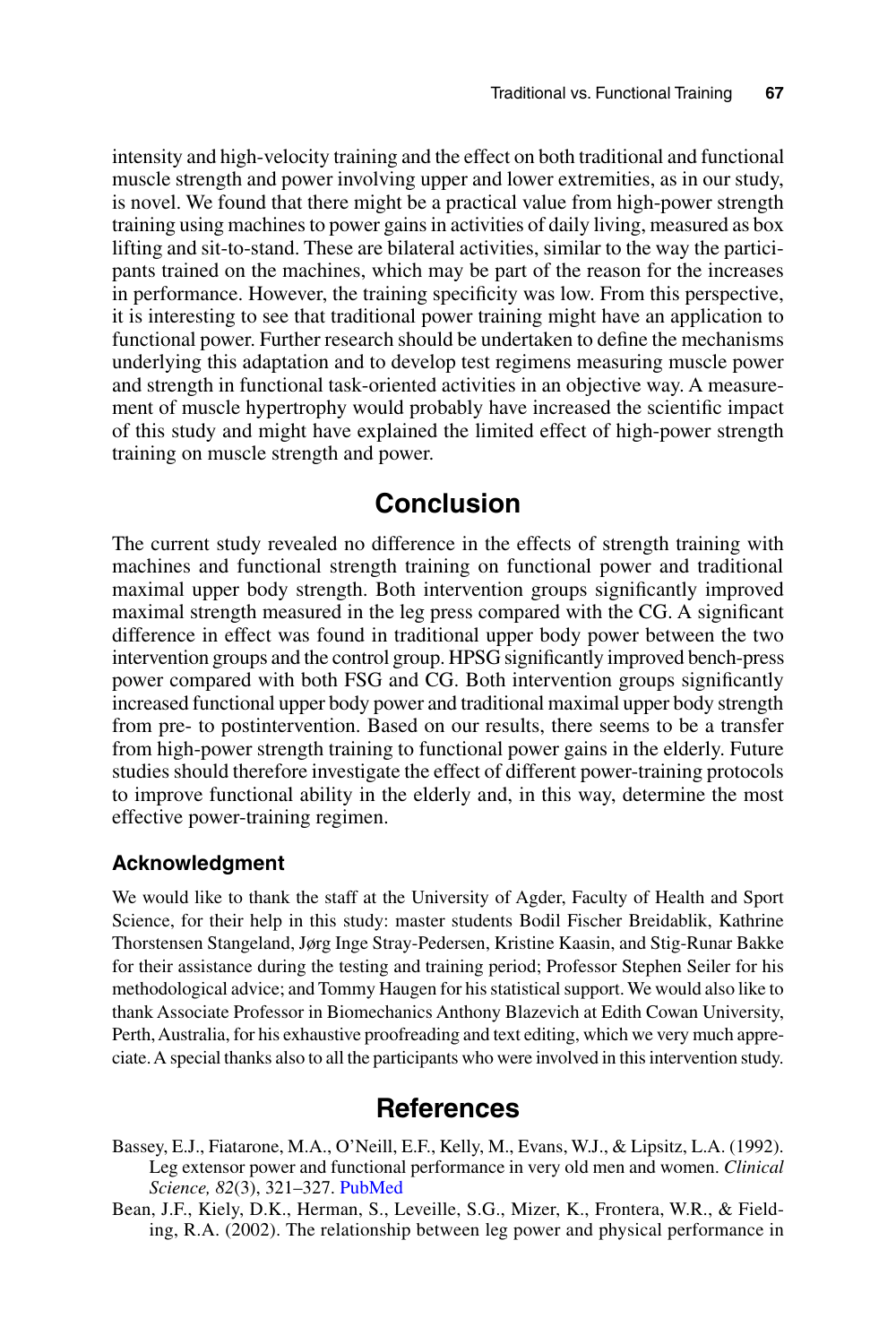intensity and high-velocity training and the effect on both traditional and functional muscle strength and power involving upper and lower extremities, as in our study, is novel. We found that there might be a practical value from high-power strength training using machines to power gains in activities of daily living, measured as box lifting and sit-to-stand. These are bilateral activities, similar to the way the participants trained on the machines, which may be part of the reason for the increases in performance. However, the training specificity was low. From this perspective, it is interesting to see that traditional power training might have an application to functional power. Further research should be undertaken to define the mechanisms underlying this adaptation and to develop test regimens measuring muscle power and strength in functional task-oriented activities in an objective way. A measurement of muscle hypertrophy would probably have increased the scientific impact of this study and might have explained the limited effect of high-power strength training on muscle strength and power.

# **Conclusion**

The current study revealed no difference in the effects of strength training with machines and functional strength training on functional power and traditional maximal upper body strength. Both intervention groups significantly improved maximal strength measured in the leg press compared with the CG. A significant difference in effect was found in traditional upper body power between the two intervention groups and the control group. HPSG significantly improved bench-press power compared with both FSG and CG. Both intervention groups significantly increased functional upper body power and traditional maximal upper body strength from pre- to postintervention. Based on our results, there seems to be a transfer from high-power strength training to functional power gains in the elderly. Future studies should therefore investigate the effect of different power-training protocols to improve functional ability in the elderly and, in this way, determine the most effective power-training regimen.

#### **Acknowledgment**

We would like to thank the staff at the University of Agder, Faculty of Health and Sport Science, for their help in this study: master students Bodil Fischer Breidablik, Kathrine Thorstensen Stangeland, Jørg Inge Stray-Pedersen, Kristine Kaasin, and Stig-Runar Bakke for their assistance during the testing and training period; Professor Stephen Seiler for his methodological advice; and Tommy Haugen for his statistical support. We would also like to thank Associate Professor in Biomechanics Anthony Blazevich at Edith Cowan University, Perth, Australia, for his exhaustive proofreading and text editing, which we very much appreciate. A special thanks also to all the participants who were involved in this intervention study.

# **References**

- Bassey, E.J., Fiatarone, M.A., O'Neill, E.F., Kelly, M., Evans, W.J., & Lipsitz, L.A. (1992). Leg extensor power and functional performance in very old men and women. *Clinical Science, 82*(3), 321–327. [PubMed](http://www.ncbi.nlm.nih.gov/entrez/query.fcgi?cmd=Retrieve&db=PubMed&list_uids=1312417&dopt=Abstract)
- Bean, J.F., Kiely, D.K., Herman, S., Leveille, S.G., Mizer, K., Frontera, W.R., & Fielding, R.A. (2002). The relationship between leg power and physical performance in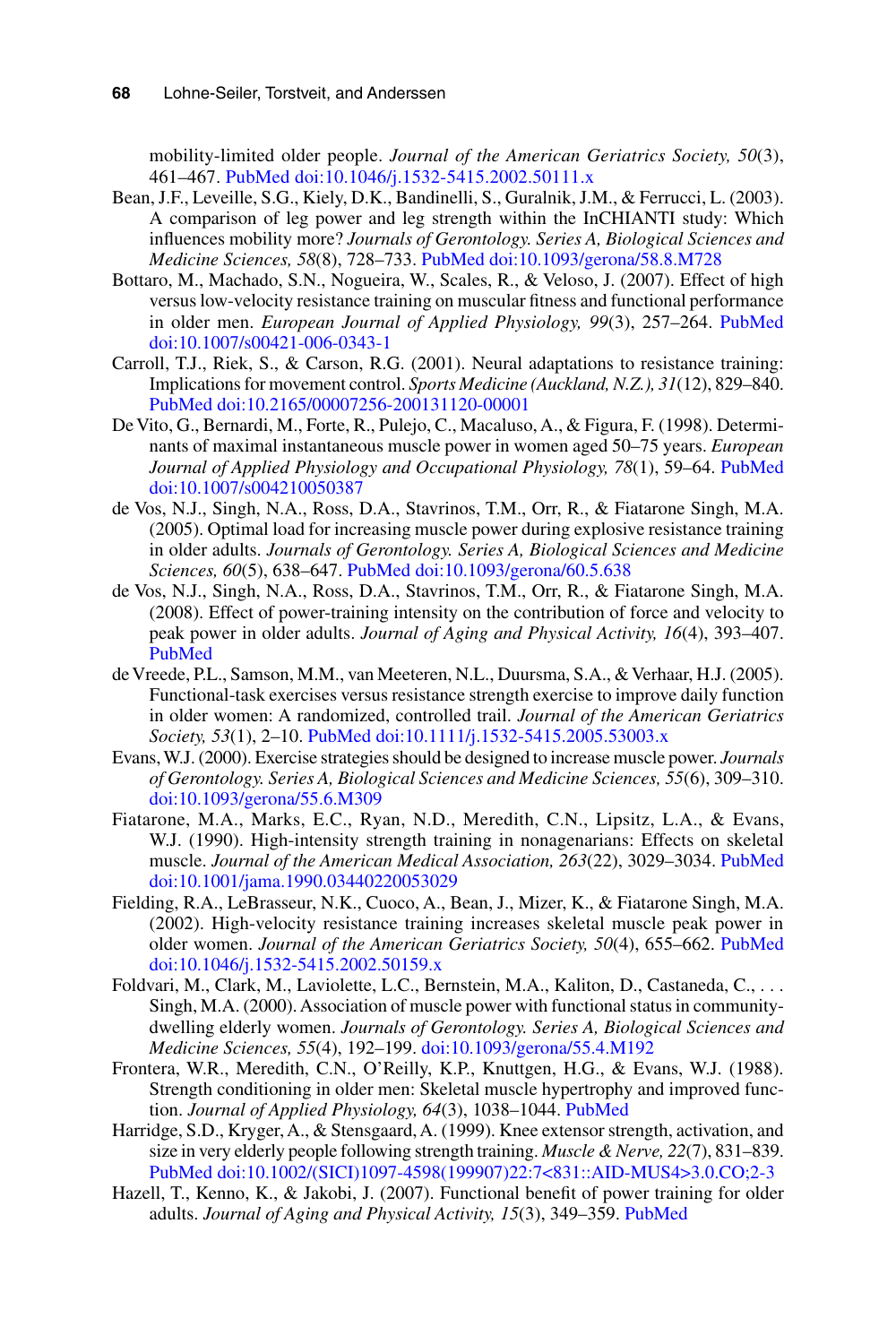mobility-limited older people. *Journal of the American Geriatrics Society, 50*(3), 461–467[. PubMed](http://www.ncbi.nlm.nih.gov/entrez/query.fcgi?cmd=Retrieve&db=PubMed&list_uids=11943041&dopt=Abstract) [doi:10.1046/j.1532-5415.2002.50111.x](http://dx.doi.org/10.1046/j.1532-5415.2002.50111.x)

- Bean, J.F., Leveille, S.G., Kiely, D.K., Bandinelli, S., Guralnik, J.M., & Ferrucci, L. (2003). A comparison of leg power and leg strength within the InCHIANTI study: Which influences mobility more? *Journals of Gerontology. Series A, Biological Sciences and Medicine Sciences, 58*(8), 728–733. [PubMed](http://www.ncbi.nlm.nih.gov/entrez/query.fcgi?cmd=Retrieve&db=PubMed&list_uids=12902531&dopt=Abstract) [doi:10.1093/gerona/58.8.M728](http://dx.doi.org/10.1093/gerona/58.8.M728)
- Bottaro, M., Machado, S.N., Nogueira, W., Scales, R., & Veloso, J. (2007). Effect of high versus low-velocity resistance training on muscular fitness and functional performance in older men. *European Journal of Applied Physiology, 99*(3), 257–264. [PubMed](http://www.ncbi.nlm.nih.gov/entrez/query.fcgi?cmd=Retrieve&db=PubMed&list_uids=17146693&dopt=Abstract) [doi:10.1007/s00421-006-0343-1](http://dx.doi.org/10.1007/s00421-006-0343-1)
- Carroll, T.J., Riek, S., & Carson, R.G. (2001). Neural adaptations to resistance training: Implications for movement control. *Sports Medicine (Auckland, N.Z.), 31*(12), 829–840. [PubMed](http://www.ncbi.nlm.nih.gov/entrez/query.fcgi?cmd=Retrieve&db=PubMed&list_uids=11665911&dopt=Abstract) [doi:10.2165/00007256-200131120-00001](http://dx.doi.org/10.2165/00007256-200131120-00001)
- De Vito, G., Bernardi, M., Forte, R., Pulejo, C., Macaluso, A., & Figura, F. (1998). Determinants of maximal instantaneous muscle power in women aged 50–75 years. *European Journal of Applied Physiology and Occupational Physiology, 78*(1), 59–64[. PubMed](http://www.ncbi.nlm.nih.gov/entrez/query.fcgi?cmd=Retrieve&db=PubMed&list_uids=9660157&dopt=Abstract) [doi:10.1007/s004210050387](http://dx.doi.org/10.1007/s004210050387)
- de Vos, N.J., Singh, N.A., Ross, D.A., Stavrinos, T.M., Orr, R., & Fiatarone Singh, M.A. (2005). Optimal load for increasing muscle power during explosive resistance training in older adults. *Journals of Gerontology. Series A, Biological Sciences and Medicine Sciences, 60*(5), 638–647[. PubMed](http://www.ncbi.nlm.nih.gov/entrez/query.fcgi?cmd=Retrieve&db=PubMed&list_uids=15972618&dopt=Abstract) [doi:10.1093/gerona/60.5.638](http://dx.doi.org/10.1093/gerona/60.5.638)
- de Vos, N.J., Singh, N.A., Ross, D.A., Stavrinos, T.M., Orr, R., & Fiatarone Singh, M.A. (2008). Effect of power-training intensity on the contribution of force and velocity to peak power in older adults. *Journal of Aging and Physical Activity, 16*(4), 393–407. [PubMed](http://www.ncbi.nlm.nih.gov/entrez/query.fcgi?cmd=Retrieve&db=PubMed&list_uids=19033601&dopt=Abstract)
- de Vreede, P.L., Samson, M.M., van Meeteren, N.L., Duursma, S.A., & Verhaar, H.J. (2005). Functional-task exercises versus resistance strength exercise to improve daily function in older women: A randomized, controlled trail. *Journal of the American Geriatrics Society, 53*(1), 2–10[. PubMed](http://www.ncbi.nlm.nih.gov/entrez/query.fcgi?cmd=Retrieve&db=PubMed&list_uids=15667369&dopt=Abstract) [doi:10.1111/j.1532-5415.2005.53003.x](http://dx.doi.org/10.1111/j.1532-5415.2005.53003.x)
- Evans, W.J. (2000). Exercise strategies should be designed to increase muscle power. *Journals of Gerontology. Series A, Biological Sciences and Medicine Sciences, 55*(6), 309–310. [doi:10.1093/gerona/55.6.M309](http://dx.doi.org/10.1093/gerona/55.6.M309)
- Fiatarone, M.A., Marks, E.C., Ryan, N.D., Meredith, C.N., Lipsitz, L.A., & Evans, W.J. (1990). High-intensity strength training in nonagenarians: Effects on skeletal muscle. *Journal of the American Medical Association, 263*(22), 3029–3034[. PubMed](http://www.ncbi.nlm.nih.gov/entrez/query.fcgi?cmd=Retrieve&db=PubMed&list_uids=2342214&dopt=Abstract) [doi:10.1001/jama.1990.03440220053029](http://dx.doi.org/10.1001/jama.1990.03440220053029)
- Fielding, R.A., LeBrasseur, N.K., Cuoco, A., Bean, J., Mizer, K., & Fiatarone Singh, M.A. (2002). High-velocity resistance training increases skeletal muscle peak power in older women. *Journal of the American Geriatrics Society, 50*(4), 655–662. [PubMed](http://www.ncbi.nlm.nih.gov/entrez/query.fcgi?cmd=Retrieve&db=PubMed&list_uids=11982665&dopt=Abstract) [doi:10.1046/j.1532-5415.2002.50159.x](http://dx.doi.org/10.1046/j.1532-5415.2002.50159.x)
- Foldvari, M., Clark, M., Laviolette, L.C., Bernstein, M.A., Kaliton, D., Castaneda, C., . . . Singh, M.A. (2000). Association of muscle power with functional status in communitydwelling elderly women. *Journals of Gerontology. Series A, Biological Sciences and Medicine Sciences, 55*(4), 192–199. [doi:10.1093/gerona/55.4.M192](http://dx.doi.org/10.1093/gerona/55.4.M192)
- Frontera, W.R., Meredith, C.N., O'Reilly, K.P., Knuttgen, H.G., & Evans, W.J. (1988). Strength conditioning in older men: Skeletal muscle hypertrophy and improved function. *Journal of Applied Physiology, 64*(3), 1038–1044. [PubMed](http://www.ncbi.nlm.nih.gov/entrez/query.fcgi?cmd=Retrieve&db=PubMed&list_uids=3366726&dopt=Abstract)
- Harridge, S.D., Kryger, A., & Stensgaard, A. (1999). Knee extensor strength, activation, and size in very elderly people following strength training. *Muscle & Nerve, 22*(7), 831–839. [PubMed](http://www.ncbi.nlm.nih.gov/entrez/query.fcgi?cmd=Retrieve&db=PubMed&list_uids=10398199&dopt=Abstract) [doi:10.1002/\(SICI\)1097-4598\(199907\)22:7<831::AID-MUS4>3.0.CO;2-3](http://dx.doi.org/10.1002/(SICI)1097-4598(199907)22%3A7%3C831%3A%3AAID-MUS4%3E3.0.CO%3B2-3)
- Hazell, T., Kenno, K., & Jakobi, J. (2007). Functional benefit of power training for older adults. *Journal of Aging and Physical Activity, 15*(3), 349–359. [PubMed](http://www.ncbi.nlm.nih.gov/entrez/query.fcgi?cmd=Retrieve&db=PubMed&list_uids=17724399&dopt=Abstract)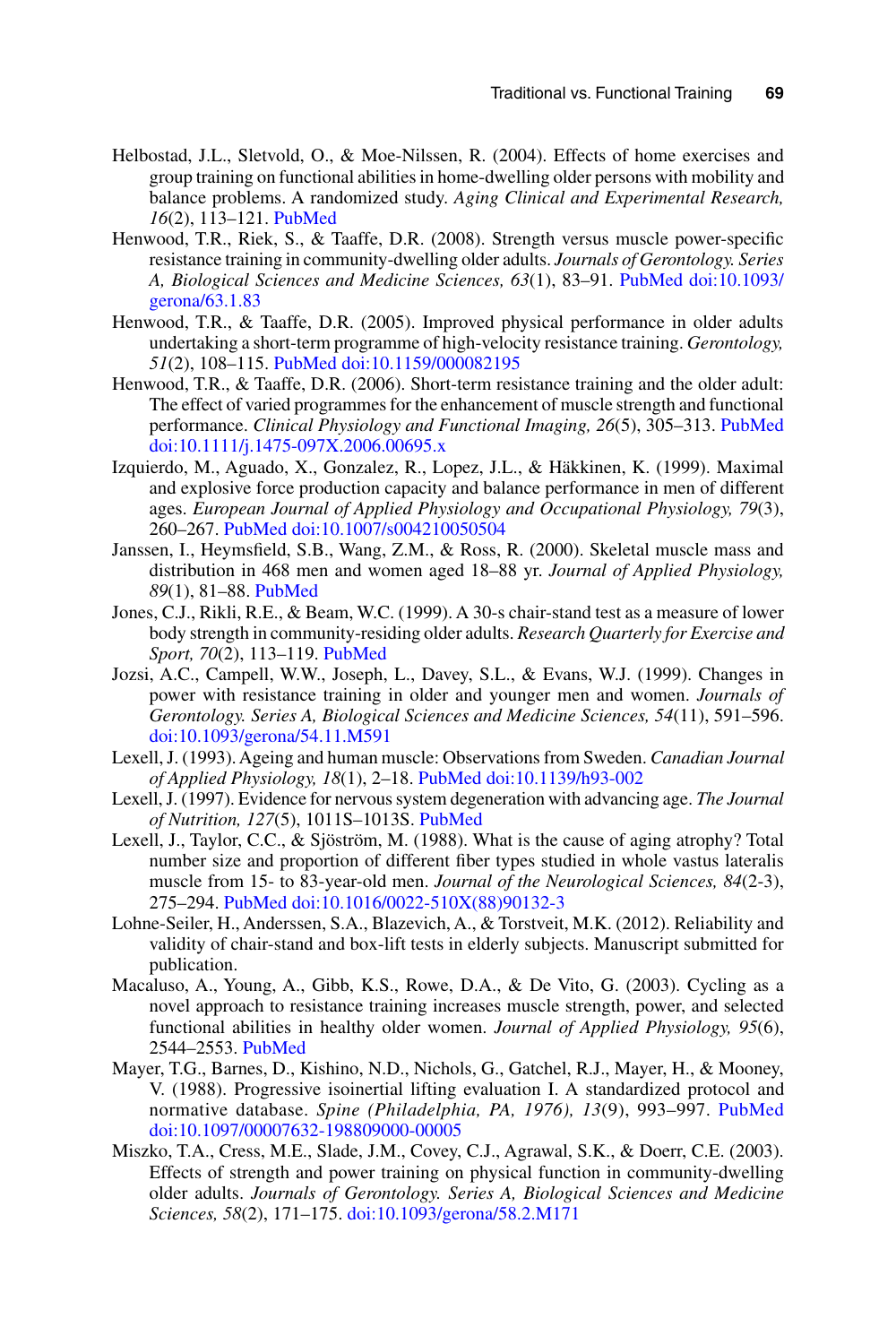- Helbostad, J.L., Sletvold, O., & Moe-Nilssen, R. (2004). Effects of home exercises and group training on functional abilities in home-dwelling older persons with mobility and balance problems. A randomized study. *Aging Clinical and Experimental Research, 16*(2), 113–121. [PubMed](http://www.ncbi.nlm.nih.gov/entrez/query.fcgi?cmd=Retrieve&db=PubMed&list_uids=15195985&dopt=Abstract)
- Henwood, T.R., Riek, S., & Taaffe, D.R. (2008). Strength versus muscle power-specific resistance training in community-dwelling older adults. *Journals of Gerontology. Series A, Biological Sciences and Medicine Sciences, 63*(1), 83–91. [PubMed](http://www.ncbi.nlm.nih.gov/entrez/query.fcgi?cmd=Retrieve&db=PubMed&list_uids=18245765&dopt=Abstract) [doi:10.1093/](http://dx.doi.org/10.1093/gerona/63.1.83) [gerona/63.1.83](http://dx.doi.org/10.1093/gerona/63.1.83)
- Henwood, T.R., & Taaffe, D.R. (2005). Improved physical performance in older adults undertaking a short-term programme of high-velocity resistance training. *Gerontology, 51*(2), 108–115. [PubMed](http://www.ncbi.nlm.nih.gov/entrez/query.fcgi?cmd=Retrieve&db=PubMed&list_uids=15711077&dopt=Abstract) [doi:10.1159/000082195](http://dx.doi.org/10.1159/000082195)
- Henwood, T.R., & Taaffe, D.R. (2006). Short-term resistance training and the older adult: The effect of varied programmes for the enhancement of muscle strength and functional performance. *Clinical Physiology and Functional Imaging, 26*(5), 305–313[. PubMed](http://www.ncbi.nlm.nih.gov/entrez/query.fcgi?cmd=Retrieve&db=PubMed&list_uids=16939509&dopt=Abstract) [doi:10.1111/j.1475-097X.2006.00695.x](http://dx.doi.org/10.1111/j.1475-097X.2006.00695.x)
- Izquierdo, M., Aguado, X., Gonzalez, R., Lopez, J.L., & Häkkinen, K. (1999). Maximal and explosive force production capacity and balance performance in men of different ages. *European Journal of Applied Physiology and Occupational Physiology, 79*(3), 260–267. [PubMed](http://www.ncbi.nlm.nih.gov/entrez/query.fcgi?cmd=Retrieve&db=PubMed&list_uids=10048631&dopt=Abstract) [doi:10.1007/s004210050504](http://dx.doi.org/10.1007/s004210050504)
- Janssen, I., Heymsfield, S.B., Wang, Z.M., & Ross, R. (2000). Skeletal muscle mass and distribution in 468 men and women aged 18–88 yr. *Journal of Applied Physiology, 89*(1), 81–88. [PubMed](http://www.ncbi.nlm.nih.gov/entrez/query.fcgi?cmd=Retrieve&db=PubMed&list_uids=10904038&dopt=Abstract)
- Jones, C.J., Rikli, R.E., & Beam, W.C. (1999). A 30-s chair-stand test as a measure of lower body strength in community-residing older adults. *Research Quarterly for Exercise and Sport, 70*(2), 113–119. [PubMed](http://www.ncbi.nlm.nih.gov/entrez/query.fcgi?cmd=Retrieve&db=PubMed&list_uids=10380242&dopt=Abstract)
- Jozsi, A.C., Campell, W.W., Joseph, L., Davey, S.L., & Evans, W.J. (1999). Changes in power with resistance training in older and younger men and women. *Journals of Gerontology. Series A, Biological Sciences and Medicine Sciences, 54*(11), 591–596. [doi:10.1093/gerona/54.11.M591](http://dx.doi.org/10.1093/gerona/54.11.M591)
- Lexell, J. (1993). Ageing and human muscle: Observations from Sweden. *Canadian Journal of Applied Physiology, 18*(1), 2–18[. PubMed](http://www.ncbi.nlm.nih.gov/entrez/query.fcgi?cmd=Retrieve&db=PubMed&list_uids=8471991&dopt=Abstract) [doi:10.1139/h93-002](http://dx.doi.org/10.1139/h93-002)
- Lexell, J. (1997). Evidence for nervous system degeneration with advancing age. *The Journal of Nutrition, 127*(5), 1011S–1013S[. PubMed](http://www.ncbi.nlm.nih.gov/entrez/query.fcgi?cmd=Retrieve&db=PubMed&list_uids=9164286&dopt=Abstract)
- Lexell, J., Taylor, C.C., & Sjöström, M. (1988). What is the cause of aging atrophy? Total number size and proportion of different fiber types studied in whole vastus lateralis muscle from 15- to 83-year-old men. *Journal of the Neurological Sciences, 84*(2-3), 275–294. [PubMed](http://www.ncbi.nlm.nih.gov/entrez/query.fcgi?cmd=Retrieve&db=PubMed&list_uids=3379447&dopt=Abstract) [doi:10.1016/0022-510X\(88\)90132-3](http://dx.doi.org/10.1016/0022-510X(88)90132-3)
- Lohne-Seiler, H., Anderssen, S.A., Blazevich, A., & Torstveit, M.K. (2012). Reliability and validity of chair-stand and box-lift tests in elderly subjects. Manuscript submitted for publication.
- Macaluso, A., Young, A., Gibb, K.S., Rowe, D.A., & De Vito, G. (2003). Cycling as a novel approach to resistance training increases muscle strength, power, and selected functional abilities in healthy older women. *Journal of Applied Physiology, 95*(6), 2544–2553. [PubMed](http://www.ncbi.nlm.nih.gov/entrez/query.fcgi?cmd=Retrieve&db=PubMed&list_uids=12937026&dopt=Abstract)
- Mayer, T.G., Barnes, D., Kishino, N.D., Nichols, G., Gatchel, R.J., Mayer, H., & Mooney, V. (1988). Progressive isoinertial lifting evaluation I. A standardized protocol and normative database. *Spine (Philadelphia, PA, 1976), 13*(9), 993–997. [PubMed](http://www.ncbi.nlm.nih.gov/entrez/query.fcgi?cmd=Retrieve&db=PubMed&list_uids=3206306&dopt=Abstract) [doi:10.1097/00007632-198809000-00005](http://dx.doi.org/10.1097/00007632-198809000-00005)
- Miszko, T.A., Cress, M.E., Slade, J.M., Covey, C.J., Agrawal, S.K., & Doerr, C.E. (2003). Effects of strength and power training on physical function in community-dwelling older adults. *Journals of Gerontology. Series A, Biological Sciences and Medicine Sciences, 58*(2), 171–175. [doi:10.1093/gerona/58.2.M171](http://dx.doi.org/10.1093/gerona/58.2.M171)